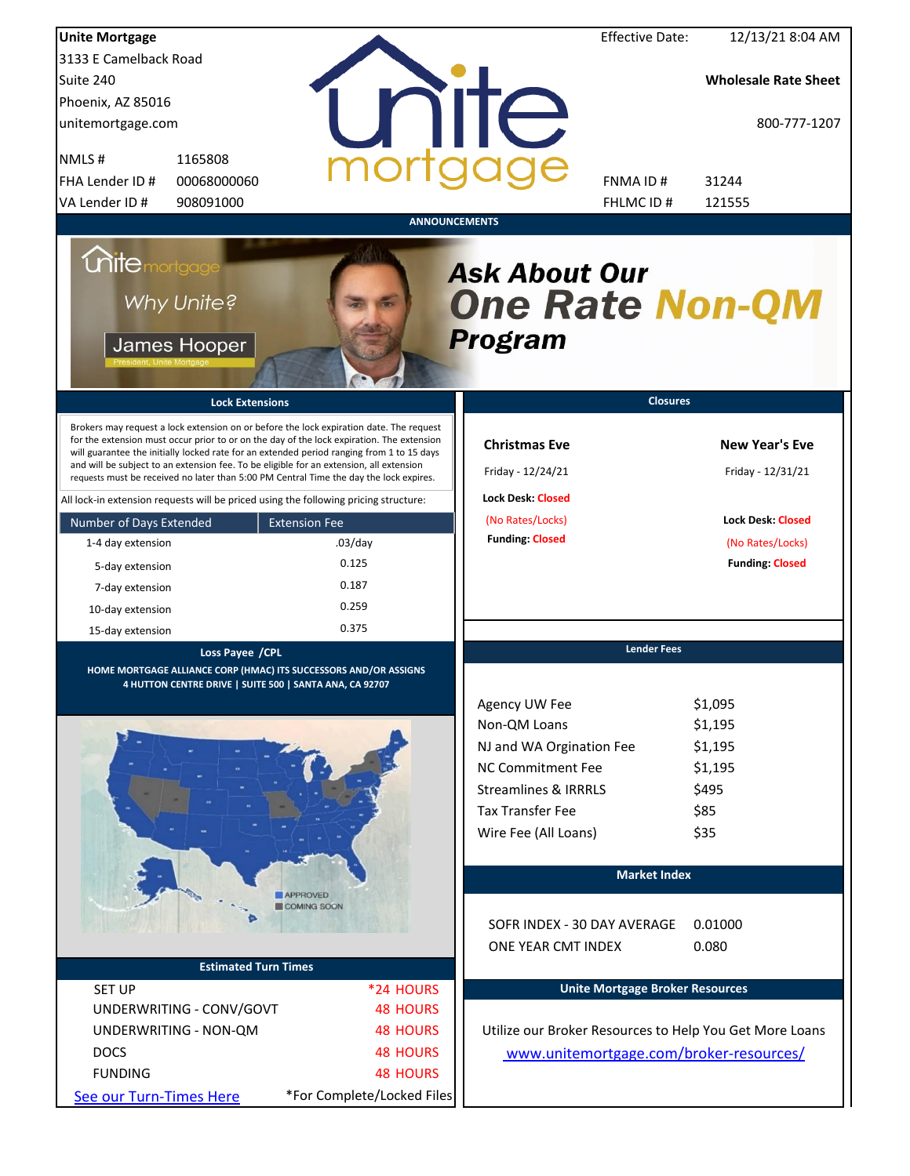| <b>Unite Mortgage</b>                                                                                                                                                                                                                                                                                                                                                                                                                                                                                                                                                                                                                                                                                                                 |                                                                                       |                                                                                                                                                                                         | <b>Effective Date:</b> | 12/13/21 8:04 AM                                                                                                     |
|---------------------------------------------------------------------------------------------------------------------------------------------------------------------------------------------------------------------------------------------------------------------------------------------------------------------------------------------------------------------------------------------------------------------------------------------------------------------------------------------------------------------------------------------------------------------------------------------------------------------------------------------------------------------------------------------------------------------------------------|---------------------------------------------------------------------------------------|-----------------------------------------------------------------------------------------------------------------------------------------------------------------------------------------|------------------------|----------------------------------------------------------------------------------------------------------------------|
| 3133 E Camelback Road                                                                                                                                                                                                                                                                                                                                                                                                                                                                                                                                                                                                                                                                                                                 |                                                                                       |                                                                                                                                                                                         |                        |                                                                                                                      |
| Suite 240                                                                                                                                                                                                                                                                                                                                                                                                                                                                                                                                                                                                                                                                                                                             |                                                                                       |                                                                                                                                                                                         |                        | <b>Wholesale Rate Sheet</b>                                                                                          |
| Phoenix, AZ 85016                                                                                                                                                                                                                                                                                                                                                                                                                                                                                                                                                                                                                                                                                                                     |                                                                                       |                                                                                                                                                                                         |                        |                                                                                                                      |
| unitemortgage.com                                                                                                                                                                                                                                                                                                                                                                                                                                                                                                                                                                                                                                                                                                                     |                                                                                       | <b>TITE</b>                                                                                                                                                                             |                        | 800-777-1207                                                                                                         |
| 1165808<br>NMLS#                                                                                                                                                                                                                                                                                                                                                                                                                                                                                                                                                                                                                                                                                                                      |                                                                                       |                                                                                                                                                                                         |                        |                                                                                                                      |
| FHA Lender ID #<br>00068000060                                                                                                                                                                                                                                                                                                                                                                                                                                                                                                                                                                                                                                                                                                        |                                                                                       | FNMA ID#                                                                                                                                                                                |                        | 31244                                                                                                                |
| VA Lender ID #<br>908091000                                                                                                                                                                                                                                                                                                                                                                                                                                                                                                                                                                                                                                                                                                           |                                                                                       |                                                                                                                                                                                         | FHLMC ID #             | 121555                                                                                                               |
| <b>Unite</b> mortgage<br>Why Unite?<br>James Hooper<br><b>Lock Extensions</b><br>Brokers may request a lock extension on or before the lock expiration date. The request<br>for the extension must occur prior to or on the day of the lock expiration. The extension<br>will guarantee the initially locked rate for an extended period ranging from 1 to 15 days<br>and will be subject to an extension fee. To be eligible for an extension, all extension<br>requests must be received no later than 5:00 PM Central Time the day the lock expires.<br>All lock-in extension requests will be priced using the following pricing structure:<br>Number of Days Extended<br>1-4 day extension<br>5-day extension<br>7-day extension | <b>ANNOUNCEMENTS</b><br><b>Extension Fee</b><br>$.03$ /day<br>0.125<br>0.187<br>0.259 | <b>Ask About Our</b><br><b>One Rate Non-QM</b><br><b>Program</b><br><b>Christmas Eve</b><br>Friday - 12/24/21<br><b>Lock Desk: Closed</b><br>(No Rates/Locks)<br><b>Funding: Closed</b> | <b>Closures</b>        | <b>New Year's Eve</b><br>Friday - 12/31/21<br><b>Lock Desk: Closed</b><br>(No Rates/Locks)<br><b>Funding: Closed</b> |
| 10-day extension                                                                                                                                                                                                                                                                                                                                                                                                                                                                                                                                                                                                                                                                                                                      | 0.375                                                                                 |                                                                                                                                                                                         |                        |                                                                                                                      |
| 15-day extension                                                                                                                                                                                                                                                                                                                                                                                                                                                                                                                                                                                                                                                                                                                      |                                                                                       |                                                                                                                                                                                         | <b>Lender Fees</b>     |                                                                                                                      |
| Loss Payee / CPL<br>HOME MORTGAGE ALLIANCE CORP (HMAC) ITS SUCCESSORS AND/OR ASSIGNS<br>4 HUTTON CENTRE DRIVE   SUITE 500   SANTA ANA, CA 92707                                                                                                                                                                                                                                                                                                                                                                                                                                                                                                                                                                                       |                                                                                       |                                                                                                                                                                                         |                        |                                                                                                                      |
|                                                                                                                                                                                                                                                                                                                                                                                                                                                                                                                                                                                                                                                                                                                                       |                                                                                       | Agency UW Fee<br>Non-QM Loans<br>NJ and WA Orgination Fee<br><b>NC Commitment Fee</b><br><b>Streamlines &amp; IRRRLS</b><br><b>Tax Transfer Fee</b><br>Wire Fee (All Loans)             |                        | \$1,095<br>\$1,195<br>\$1,195<br>\$1,195<br>\$495<br>\$85<br>\$35                                                    |
|                                                                                                                                                                                                                                                                                                                                                                                                                                                                                                                                                                                                                                                                                                                                       |                                                                                       |                                                                                                                                                                                         | <b>Market Index</b>    |                                                                                                                      |
|                                                                                                                                                                                                                                                                                                                                                                                                                                                                                                                                                                                                                                                                                                                                       | <b>APPROVED</b><br>COMING SOON                                                        | SOFR INDEX - 30 DAY AVERAGE<br>ONE YEAR CMT INDEX                                                                                                                                       |                        | 0.01000<br>0.080                                                                                                     |
| <b>Estimated Turn Times</b>                                                                                                                                                                                                                                                                                                                                                                                                                                                                                                                                                                                                                                                                                                           |                                                                                       |                                                                                                                                                                                         |                        |                                                                                                                      |
| <b>SET UP</b>                                                                                                                                                                                                                                                                                                                                                                                                                                                                                                                                                                                                                                                                                                                         | *24 HOURS                                                                             | <b>Unite Mortgage Broker Resources</b>                                                                                                                                                  |                        |                                                                                                                      |
| UNDERWRITING - CONV/GOVT                                                                                                                                                                                                                                                                                                                                                                                                                                                                                                                                                                                                                                                                                                              | <b>48 HOURS</b>                                                                       |                                                                                                                                                                                         |                        |                                                                                                                      |
| UNDERWRITING - NON-QM                                                                                                                                                                                                                                                                                                                                                                                                                                                                                                                                                                                                                                                                                                                 | <b>48 HOURS</b>                                                                       | Utilize our Broker Resources to Help You Get More Loans                                                                                                                                 |                        |                                                                                                                      |
| <b>DOCS</b>                                                                                                                                                                                                                                                                                                                                                                                                                                                                                                                                                                                                                                                                                                                           | <b>48 HOURS</b>                                                                       | www.unitemortgage.com/broker-resources/                                                                                                                                                 |                        |                                                                                                                      |
| <b>FUNDING</b>                                                                                                                                                                                                                                                                                                                                                                                                                                                                                                                                                                                                                                                                                                                        | <b>48 HOURS</b>                                                                       |                                                                                                                                                                                         |                        |                                                                                                                      |
| See our Turn-Times Here                                                                                                                                                                                                                                                                                                                                                                                                                                                                                                                                                                                                                                                                                                               | *For Complete/Locked Files                                                            |                                                                                                                                                                                         |                        |                                                                                                                      |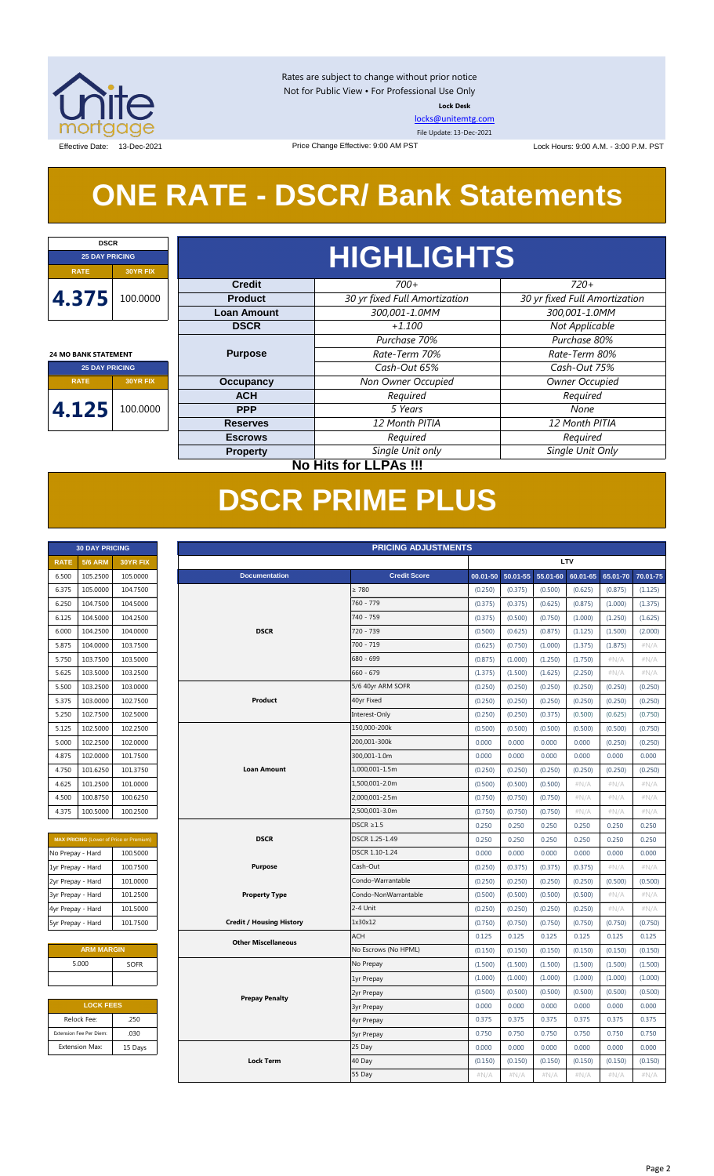

Rates are subject to change without prior notice Not for Public View • For Professional Use Only **Lock Desk**

[locks@unitemtg.com](mailto:locks@unitemtg.com)

File Update: 13-Dec-2021

Effective Date: 13-Dec-2021 **Lock Hours: 9:00 A.M. - 3:00 P.M. PST** Lock Hours: 9:00 A.M. - 3:00 P.M. PST

## **ONE RATE - DSCR/ Bank Statements**

Price Change Effective: 9:00 AM PST

| <b>DSCR</b>                 |                                     |                    |                               |                               |  |            |         |      |  |  |
|-----------------------------|-------------------------------------|--------------------|-------------------------------|-------------------------------|--|------------|---------|------|--|--|
| <b>25 DAY PRICING</b>       |                                     |                    | <b>HIGHLIGHTS</b>             |                               |  |            |         |      |  |  |
| <b>RATE</b>                 | <b>30YR FIX</b>                     |                    |                               |                               |  |            |         |      |  |  |
|                             |                                     | <b>Credit</b>      | $700+$                        | $720+$                        |  |            |         |      |  |  |
| 4.375                       | 100.0000                            | <b>Product</b>     | 30 yr fixed Full Amortization | 30 yr fixed Full Amortization |  |            |         |      |  |  |
|                             |                                     | <b>Loan Amount</b> | 300,001-1.0MM                 | 300,001-1.0MM                 |  |            |         |      |  |  |
|                             |                                     | <b>DSCR</b>        | $+1.100$                      | Not Applicable                |  |            |         |      |  |  |
|                             |                                     |                    | Purchase 70%                  | Purchase 80%                  |  |            |         |      |  |  |
| <b>24 MO BANK STATEMENT</b> |                                     | <b>Purpose</b>     | Rate-Term 70%                 | Rate-Term 80%                 |  |            |         |      |  |  |
| <b>25 DAY PRICING</b>       |                                     |                    | Cash-Out 65%                  | Cash-Out 75%                  |  |            |         |      |  |  |
| <b>RATE</b>                 | <b>Occupancy</b><br><b>30YR FIX</b> |                    | Non Owner Occupied            | Owner Occupied                |  |            |         |      |  |  |
|                             |                                     | <b>ACH</b>         | Required                      | Required                      |  |            |         |      |  |  |
| 4.125                       | 100.0000                            |                    |                               |                               |  | <b>PPP</b> | 5 Years | None |  |  |
|                             |                                     | <b>Reserves</b>    | 12 Month PITIA                | 12 Month PITIA                |  |            |         |      |  |  |
|                             |                                     | <b>Escrows</b>     | Required                      | Required                      |  |            |         |      |  |  |
|                             |                                     | <b>Property</b>    | Single Unit only              | Single Unit Only              |  |            |         |      |  |  |
|                             | <b>No Hits for LLPAs !!!</b>        |                    |                               |                               |  |            |         |      |  |  |

## **DSCR PRIME PLUS**

| <b>30 DAY PRICING</b> |                |                 |  |  |  |
|-----------------------|----------------|-----------------|--|--|--|
| <b>RATE</b>           | <b>5/6 ARM</b> | <b>30YR FIX</b> |  |  |  |
| 6.500                 | 105.2500       | 105.0000        |  |  |  |
| 6.375                 | 105.0000       | 104.7500        |  |  |  |
| 6.250                 | 104.7500       | 104.5000        |  |  |  |
| 6.125                 | 104.5000       | 104.2500        |  |  |  |
| 6.000                 | 104.2500       | 104.0000        |  |  |  |
| 5.875                 | 104.0000       | 103.7500        |  |  |  |
| 5.750                 | 103.7500       | 103.5000        |  |  |  |
| 5.625                 | 103.5000       | 103.2500        |  |  |  |
| 5.500                 | 103.2500       | 103.0000        |  |  |  |
| 5.375                 | 103.0000       | 102.7500        |  |  |  |
| 5.250                 | 102.7500       | 102.5000        |  |  |  |
| 5.125                 | 102.5000       | 102.2500        |  |  |  |
| 5.000                 | 102.2500       | 102,0000        |  |  |  |
| 4.875                 | 102,0000       | 101.7500        |  |  |  |
| 4.750                 | 101.6250       | 101.3750        |  |  |  |
| 4.625                 | 101.2500       | 101.0000        |  |  |  |
| 4.500                 | 100.8750       | 100.6250        |  |  |  |
| 4.375                 | 100.5000       | 100.2500        |  |  |  |

| <b>MAX PRICING (Lower of Price or Premium)</b> |          |  |  |  |  |  |  |
|------------------------------------------------|----------|--|--|--|--|--|--|
| No Prepay - Hard                               | 100.5000 |  |  |  |  |  |  |
| 1yr Prepay - Hard                              | 100.7500 |  |  |  |  |  |  |
| 2yr Prepay - Hard                              | 101.0000 |  |  |  |  |  |  |
| 3yr Prepay - Hard                              | 101.2500 |  |  |  |  |  |  |
| 4yr Prepay - Hard                              | 101.5000 |  |  |  |  |  |  |
| 5yr Prepay - Hard                              | 101.7500 |  |  |  |  |  |  |

| <b>ARM MARGIN</b> |             |  |  |  |  |  |
|-------------------|-------------|--|--|--|--|--|
| 5.000             | <b>SOFR</b> |  |  |  |  |  |
|                   |             |  |  |  |  |  |

| <b>LOCK FEES</b> |  |  |  |  |  |  |
|------------------|--|--|--|--|--|--|
| .250             |  |  |  |  |  |  |
| .030             |  |  |  |  |  |  |
| 15 Days          |  |  |  |  |  |  |
|                  |  |  |  |  |  |  |

|                   | <b>30 DAY PRICING</b>   |                                                | <b>PRICING ADJUSTMENTS</b> |                                 |  |                      |          |          |          |          |          |          |
|-------------------|-------------------------|------------------------------------------------|----------------------------|---------------------------------|--|----------------------|----------|----------|----------|----------|----------|----------|
| <b>RATE</b>       | <b>5/6 ARM</b>          | 30YR FIX                                       |                            |                                 |  | <b>LTV</b>           |          |          |          |          |          |          |
| 6.500             | 105.2500                | 105.0000                                       |                            | <b>Documentation</b>            |  | <b>Credit Score</b>  | 00.01-50 | 50.01-55 | 55.01-60 | 60.01-65 | 65.01-70 | 70.01-75 |
| 6.375             | 105.0000                | 104.7500                                       |                            |                                 |  | $\geq 780$           | (0.250)  | (0.375)  | (0.500)  | (0.625)  | (0.875)  | (1.125)  |
| 6.250             | 104.7500                | 104.5000                                       |                            |                                 |  | 760 - 779            | (0.375)  | (0.375)  | (0.625)  | (0.875)  | (1.000)  | (1.375)  |
| 6.125             | 104.5000                | 104.2500                                       |                            |                                 |  | 740 - 759            | (0.375)  | (0.500)  | (0.750)  | (1.000)  | (1.250)  | (1.625)  |
| 6.000             | 104.2500                | 104.0000                                       |                            | <b>DSCR</b>                     |  | 720 - 739            | (0.500)  | (0.625)  | (0.875)  | (1.125)  | (1.500)  | (2.000)  |
| 5.875             | 104.0000                | 103.7500                                       |                            |                                 |  | 700 - 719            | (0.625)  | (0.750)  | (1.000)  | (1.375)  | (1.875)  | #N/A     |
| 5.750             | 103.7500                | 103.5000                                       |                            |                                 |  | 680 - 699            | (0.875)  | (1.000)  | (1.250)  | (1.750)  | #N/A     | #N/A     |
| 5.625             | 103.5000                | 103.2500                                       |                            |                                 |  | $660 - 679$          | (1.375)  | (1.500)  | (1.625)  | (2.250)  | $\#N/A$  | #N/A     |
| 5.500             | 103.2500                | 103.0000                                       |                            |                                 |  | 5/6 40yr ARM SOFR    | (0.250)  | (0.250)  | (0.250)  | (0.250)  | (0.250)  | (0.250)  |
| 5.375             | 103.0000                | 102.7500                                       |                            | Product                         |  | 40yr Fixed           | (0.250)  | (0.250)  | (0.250)  | (0.250)  | (0.250)  | (0.250)  |
| 5.250             | 102.7500                | 102.5000                                       |                            |                                 |  | Interest-Only        | (0.250)  | (0.250)  | (0.375)  | (0.500)  | (0.625)  | (0.750)  |
| 5.125             | 102.5000                | 102.2500                                       |                            |                                 |  | 150,000-200k         | (0.500)  | (0.500)  | (0.500)  | (0.500)  | (0.500)  | (0.750)  |
| 5.000             | 102.2500                | 102.0000                                       |                            |                                 |  | 200,001-300k         | 0.000    | 0.000    | 0.000    | 0.000    | (0.250)  | (0.250)  |
| 4.875             | 102.0000                | 101.7500                                       |                            |                                 |  | 300,001-1.0m         | 0.000    | 0.000    | 0.000    | 0.000    | 0.000    | 0.000    |
| 4.750             | 101.6250                | 101.3750                                       |                            | <b>Loan Amount</b>              |  | 1,000,001-1.5m       | (0.250)  | (0.250)  | (0.250)  | (0.250)  | (0.250)  | (0.250)  |
| 4.625             | 101.2500                | 101.0000                                       |                            |                                 |  | 1,500,001-2.0m       | (0.500)  | (0.500)  | (0.500)  | $\#N/A$  | $\#N/A$  | #N/A     |
| 4.500             | 100.8750                | 100.6250                                       |                            |                                 |  | 2,000,001-2.5m       | (0.750)  | (0.750)  | (0.750)  | $\#N/A$  | #N/A     | #N/A     |
| 4.375             | 100.5000                | 100.2500                                       |                            |                                 |  | 2,500,001-3.0m       | (0.750)  | (0.750)  | (0.750)  | $\#N/A$  | #N/A     | $\#N/A$  |
|                   |                         |                                                |                            |                                 |  | $DSCR \geq 1.5$      | 0.250    | 0.250    | 0.250    | 0.250    | 0.250    | 0.250    |
|                   |                         | <b>MAX PRICING</b> (Lower of Price or Premium) |                            | <b>DSCR</b>                     |  | DSCR 1.25-1.49       | 0.250    | 0.250    | 0.250    | 0.250    | 0.250    | 0.250    |
| No Prepay - Hard  |                         | 100.5000                                       |                            |                                 |  | DSCR 1.10-1.24       | 0.000    | 0.000    | 0.000    | 0.000    | 0.000    | 0.000    |
| 1yr Prepay - Hard |                         | 100.7500                                       |                            | <b>Purpose</b>                  |  | Cash-Out             | (0.250)  | (0.375)  | (0.375)  | (0.375)  | #N/A     | #N/A     |
| 2yr Prepay - Hard |                         | 101.0000                                       |                            |                                 |  | Condo-Warrantable    | (0.250)  | (0.250)  | (0.250)  | (0.250)  | (0.500)  | (0.500)  |
| 3yr Prepay - Hard |                         | 101.2500                                       |                            | <b>Property Type</b>            |  | Condo-NonWarrantable | (0.500)  | (0.500)  | (0.500)  | (0.500)  | $\#N/A$  | #N/A     |
| 4yr Prepay - Hard |                         | 101.5000                                       |                            |                                 |  | 2-4 Unit             | (0.250)  | (0.250)  | (0.250)  | (0.250)  | #N/A     | #N/A     |
| 5yr Prepay - Hard |                         | 101.7500                                       |                            | <b>Credit / Housing History</b> |  | 1x30x12              | (0.750)  | (0.750)  | (0.750)  | (0.750)  | (0.750)  | (0.750)  |
|                   |                         |                                                |                            | <b>Other Miscellaneous</b>      |  | <b>ACH</b>           | 0.125    | 0.125    | 0.125    | 0.125    | 0.125    | 0.125    |
|                   | <b>ARM MARGIN</b>       |                                                |                            |                                 |  | No Escrows (No HPML) | (0.150)  | (0.150)  | (0.150)  | (0.150)  | (0.150)  | (0.150)  |
|                   | 5.000                   | <b>SOFR</b>                                    |                            |                                 |  | No Prepay            | (1.500)  | (1.500)  | (1.500)  | (1.500)  | (1.500)  | (1.500)  |
|                   |                         |                                                |                            |                                 |  | 1yr Prepay           | (1.000)  | (1.000)  | (1.000)  | (1.000)  | (1.000)  | (1.000)  |
|                   |                         |                                                |                            | <b>Prepay Penalty</b>           |  | 2yr Prepay           | (0.500)  | (0.500)  | (0.500)  | (0.500)  | (0.500)  | (0.500)  |
|                   | <b>LOCK FEES</b>        |                                                |                            |                                 |  | <b>3yr Prepay</b>    | 0.000    | 0.000    | 0.000    | 0.000    | 0.000    | 0.000    |
|                   | Relock Fee:             | .250                                           |                            |                                 |  | 4yr Prepay           | 0.375    | 0.375    | 0.375    | 0.375    | 0.375    | 0.375    |
|                   | Extension Fee Per Diem: | .030                                           |                            |                                 |  | <b>5yr Prepay</b>    | 0.750    | 0.750    | 0.750    | 0.750    | 0.750    | 0.750    |
|                   | <b>Extension Max:</b>   | 15 Days                                        |                            |                                 |  | 25 Day               | 0.000    | 0.000    | 0.000    | 0.000    | 0.000    | 0.000    |
|                   |                         |                                                |                            | <b>Lock Term</b>                |  | 40 Day               | (0.150)  | (0.150)  | (0.150)  | (0.150)  | (0.150)  | (0.150)  |
|                   |                         |                                                |                            |                                 |  | 55 Day               | #N/A     | $\#N/A$  | #N/A     | $\#N/A$  | #N/A     | #N/A     |
|                   |                         |                                                |                            |                                 |  |                      |          |          |          |          |          |          |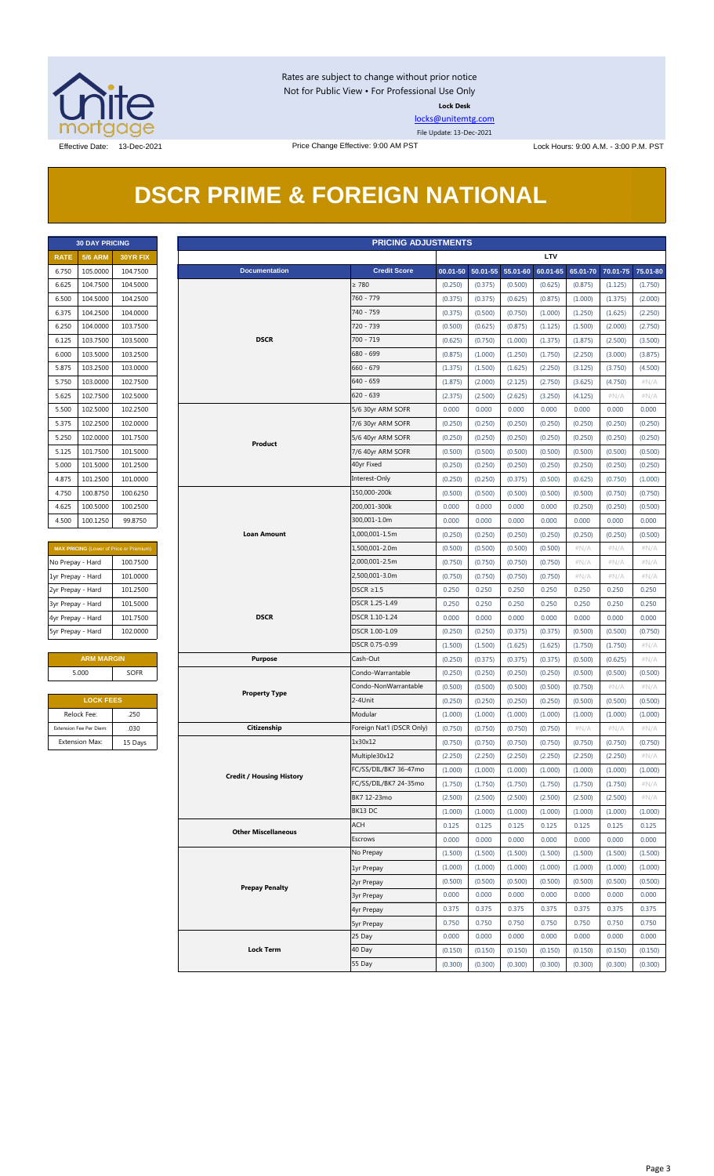

Rates are subject to change without prior notice Not for Public View • For Professional Use Only **Lock Desk**

[locks@unitemtg.com](mailto:locks@unitemtg.com)

File Update: 13-Dec-2021

Effective Date: 13-Dec-2021 **Price Change Effective: 9:00 AM PST** Lock Hours: 9:00 A.M. - 3:00 P.M. PST

## **DSCR PRIME & FOREIGN NATIONAL**

|             | <b>30 DAY PRICING</b> |                 |
|-------------|-----------------------|-----------------|
| <b>RATE</b> | <b>5/6 ARM</b>        | <b>30YR FIX</b> |
| 6.750       | 105.0000              | 104.7500        |
| 6.625       | 104.7500              | 104.5000        |
| 6.500       | 104.5000              | 104.2500        |
| 6.375       | 104.2500              | 104.0000        |
| 6.250       | 104.0000              | 103.7500        |
| 6.125       | 103.7500              | 103.5000        |
| 6.000       | 103.5000              | 103.2500        |
| 5.875       | 103.2500              | 103.0000        |
| 5.750       | 103.0000              | 102.7500        |
| 5.625       | 102.7500              | 102.5000        |
| 5.500       | 102.5000              | 102.2500        |
| 5.375       | 102.2500              | 102,0000        |
| 5.250       | 102.0000              | 101.7500        |
| 5.125       | 101.7500              | 101.5000        |
| 5.000       | 101.5000              | 101.2500        |
| 4.875       | 101.2500              | 101.0000        |
| 4.750       | 100.8750              | 100.6250        |
| 4.625       | 100.5000              | 100.2500        |
| 4.500       | 100.1250              | 99.8750         |

| <b>MAX PRICING</b> (Lower of Price or Premium) |          |  |  |  |  |  |  |
|------------------------------------------------|----------|--|--|--|--|--|--|
| No Prepay - Hard                               | 100.7500 |  |  |  |  |  |  |
| 1yr Prepay - Hard                              | 101.0000 |  |  |  |  |  |  |
| 2yr Prepay - Hard                              | 101.2500 |  |  |  |  |  |  |
| 3yr Prepay - Hard                              | 101.5000 |  |  |  |  |  |  |
| 4yr Prepay - Hard                              | 101.7500 |  |  |  |  |  |  |
| 5yr Prepay - Hard                              | 102.0000 |  |  |  |  |  |  |

| <b>ARM MARGIN</b> |             |  |  |  |  |  |
|-------------------|-------------|--|--|--|--|--|
| 5.000             | <b>SOFR</b> |  |  |  |  |  |
|                   |             |  |  |  |  |  |

| <b>LOCK FEES</b>        |         |  |  |  |  |  |
|-------------------------|---------|--|--|--|--|--|
| Relock Fee:             | .250    |  |  |  |  |  |
| Extension Fee Per Diem: | .030    |  |  |  |  |  |
| <b>Extension Max:</b>   | 15 Days |  |  |  |  |  |

|                   | <b>PRICING ADJUSTMENTS</b><br><b>30 DAY PRICING</b> |                                         |                                 |                           |         |                            |         |            |         |                            |         |
|-------------------|-----------------------------------------------------|-----------------------------------------|---------------------------------|---------------------------|---------|----------------------------|---------|------------|---------|----------------------------|---------|
| <b>RATE</b>       | <b>5/6 ARM</b>                                      | 30YR FIX                                |                                 |                           |         |                            |         | <b>LTV</b> |         |                            |         |
| 6.750             | 105.0000                                            | 104.7500                                | <b>Documentation</b>            | <b>Credit Score</b>       |         | 00.01-50 50.01-55 55.01-60 |         | 60.01-65   |         | 65.01-70 70.01-75 75.01-80 |         |
| 6.625             | 104.7500                                            | 104.5000                                |                                 | $\geq 780$                | (0.250) | (0.375)                    | (0.500) | (0.625)    | (0.875) | (1.125)                    | (1.750) |
| 6.500             | 104.5000                                            | 104.2500                                |                                 | 760 - 779                 | (0.375) | (0.375)                    | (0.625) | (0.875)    | (1.000) | (1.375)                    | (2.000) |
| 6.375             | 104.2500                                            | 104.0000                                |                                 | 740 - 759                 | (0.375) | (0.500)                    | (0.750) | (1.000)    | (1.250) | (1.625)                    | (2.250) |
| 6.250             | 104.0000                                            | 103.7500                                |                                 | 720 - 739                 | (0.500) | (0.625)                    | (0.875) | (1.125)    | (1.500) | (2.000)                    | (2.750) |
| 6.125             | 103.7500                                            | 103.5000                                | <b>DSCR</b>                     | 700 - 719                 | (0.625) | (0.750)                    | (1.000) | (1.375)    | (1.875) | (2.500)                    | (3.500) |
| 6.000             | 103.5000                                            | 103.2500                                |                                 | 680 - 699                 | (0.875) | (1.000)                    | (1.250) | (1.750)    | (2.250) | (3.000)                    | (3.875) |
| 5.875             | 103.2500                                            | 103.0000                                |                                 | $660 - 679$               | (1.375) | (1.500)                    | (1.625) | (2.250)    | (3.125) | (3.750)                    | (4.500) |
| 5.750             | 103.0000                                            | 102.7500                                |                                 | 640 - 659                 | (1.875) | (2.000)                    | (2.125) | (2.750)    | (3.625) | (4.750)                    | $\#N/A$ |
| 5.625             | 102.7500                                            | 102.5000                                |                                 | $620 - 639$               | (2.375) | (2.500)                    | (2.625) | (3.250)    | (4.125) | # $N/A$                    | $\#N/A$ |
| 5.500             | 102.5000                                            | 102.2500                                |                                 | 5/6 30yr ARM SOFR         | 0.000   | 0.000                      | 0.000   | 0.000      | 0.000   | 0.000                      | 0.000   |
| 5.375             | 102.2500                                            | 102.0000                                |                                 | 7/6 30yr ARM SOFR         | (0.250) | (0.250)                    | (0.250) | (0.250)    | (0.250) | (0.250)                    | (0.250) |
| 5.250             | 102.0000                                            | 101.7500                                |                                 | 5/6 40yr ARM SOFR         | (0.250) | (0.250)                    | (0.250) | (0.250)    | (0.250) | (0.250)                    | (0.250) |
| 5.125             | 101.7500                                            | 101.5000                                | Product                         | 7/6 40yr ARM SOFR         | (0.500) | (0.500)                    | (0.500) | (0.500)    | (0.500) | (0.500)                    | (0.500) |
| 5.000             | 101.5000                                            | 101.2500                                |                                 | 40yr Fixed                | (0.250) | (0.250)                    | (0.250) | (0.250)    | (0.250) | (0.250)                    | (0.250) |
|                   | 101.2500                                            | 101.0000                                |                                 | Interest-Only             |         |                            |         |            |         |                            |         |
| 4.875             | 100.8750                                            |                                         |                                 | 150,000-200k              | (0.250) | (0.250)                    | (0.375) | (0.500)    | (0.625) | (0.750)                    | (1.000) |
| 4.750             |                                                     | 100.6250                                |                                 |                           | (0.500) | (0.500)                    | (0.500) | (0.500)    | (0.500) | (0.750)                    | (0.750) |
| 4.625             | 100.5000                                            | 100.2500                                |                                 | 200,001-300k              | 0.000   | 0.000                      | 0.000   | 0.000      | (0.250) | (0.250)                    | (0.500) |
| 4.500             | 100.1250                                            | 99.8750                                 |                                 | 300,001-1.0m              | 0.000   | 0.000                      | 0.000   | 0.000      | 0.000   | 0.000                      | 0.000   |
|                   |                                                     |                                         | <b>Loan Amount</b>              | 1,000,001-1.5m            | (0.250) | (0.250)                    | (0.250) | (0.250)    | (0.250) | (0.250)                    | (0.500) |
|                   |                                                     | MAX PRICING (Lower of Price or Premium) |                                 | 1,500,001-2.0m            | (0.500) | (0.500)                    | (0.500) | (0.500)    | $\#N/A$ | #N/A                       | $\#N/A$ |
| No Prepay - Hard  |                                                     | 100.7500                                |                                 | 2,000,001-2.5m            | (0.750) | (0.750)                    | (0.750) | (0.750)    | # $N/A$ | # $N/A$                    | $\#N/A$ |
| 1yr Prepay - Hard |                                                     | 101.0000                                |                                 | 2,500,001-3.0m            | (0.750) | (0.750)                    | (0.750) | (0.750)    | # $N/A$ | # $N/A$                    | $\#N/A$ |
| 2yr Prepay - Hard |                                                     | 101.2500                                |                                 | $DSCR \geq 1.5$           | 0.250   | 0.250                      | 0.250   | 0.250      | 0.250   | 0.250                      | 0.250   |
| 3yr Prepay - Hard |                                                     | 101.5000                                |                                 | DSCR 1.25-1.49            | 0.250   | 0.250                      | 0.250   | 0.250      | 0.250   | 0.250                      | 0.250   |
| 4yr Prepay - Hard |                                                     | 101.7500                                | <b>DSCR</b>                     | DSCR 1.10-1.24            | 0.000   | 0.000                      | 0.000   | 0.000      | 0.000   | 0.000                      | 0.000   |
| 5yr Prepay - Hard |                                                     | 102.0000                                |                                 | DSCR 1.00-1.09            | (0.250) | (0.250)                    | (0.375) | (0.375)    | (0.500) | (0.500)                    | (0.750) |
|                   |                                                     |                                         |                                 | DSCR 0.75-0.99            | (1.500) | (1.500)                    | (1.625) | (1.625)    | (1.750) | (1.750)                    | #N/A    |
|                   | <b>ARM MARGIN</b>                                   |                                         | <b>Purpose</b>                  | Cash-Out                  | (0.250) | (0.375)                    | (0.375) | (0.375)    | (0.500) | (0.625)                    | $\#N/A$ |
|                   | 5.000                                               | <b>SOFR</b>                             |                                 | Condo-Warrantable         | (0.250) | (0.250)                    | (0.250) | (0.250)    | (0.500) | (0.500)                    | (0.500) |
|                   |                                                     |                                         | <b>Property Type</b>            | Condo-NonWarrantable      | (0.500) | (0.500)                    | (0.500) | (0.500)    | (0.750) | #N/A                       | #N/A    |
|                   | <b>LOCK FEES</b>                                    |                                         |                                 | 2-4Unit                   | (0.250) | (0.250)                    | (0.250) | (0.250)    | (0.500) | (0.500)                    | (0.500) |
|                   | Relock Fee:                                         | .250                                    |                                 | Modular                   | (1.000) | (1.000)                    | (1.000) | (1.000)    | (1.000) | (1.000)                    | (1.000) |
|                   | Extension Fee Per Diem:                             | .030                                    | Citizenship                     | Foreign Nat'l (DSCR Only) | (0.750) | (0.750)                    | (0.750) | (0.750)    | $\#N/A$ | $\#N/A$                    | $\#N/A$ |
|                   | <b>Extension Max:</b>                               | 15 Days                                 |                                 | 1x30x12                   | (0.750) | (0.750)                    | (0.750) | (0.750)    | (0.750) | (0.750)                    | (0.750) |
|                   |                                                     |                                         |                                 | Multiple30x12             | (2.250) | (2.250)                    | (2.250) | (2.250)    | (2.250) | (2.250)                    | $\#N/A$ |
|                   |                                                     |                                         |                                 | FC/SS/DIL/BK7 36-47mo     | (1.000) | (1.000)                    | (1.000) | (1.000)    | (1.000) | (1.000)                    | (1.000) |
|                   |                                                     |                                         | <b>Credit / Housing History</b> | FC/SS/DIL/BK7 24-35mo     | (1.750) | (1.750)                    | (1.750) | (1.750)    | (1.750) | (1.750)                    | $\#N/A$ |
|                   |                                                     |                                         |                                 | BK7 12-23mo               | (2.500) | (2.500)                    | (2.500) | (2.500)    | (2.500) | (2.500)                    | # $N/A$ |
|                   |                                                     |                                         |                                 | BK13 DC                   | (1.000) | (1.000)                    | (1.000) | (1.000)    | (1.000) | (1.000)                    | (1.000) |
|                   |                                                     |                                         |                                 | <b>ACH</b>                | 0.125   | 0.125                      | 0.125   | 0.125      | 0.125   | 0.125                      | 0.125   |
|                   |                                                     |                                         | <b>Other Miscellaneous</b>      | Escrows                   | 0.000   | 0.000                      | 0.000   | 0.000      | 0.000   | 0.000                      | 0.000   |
|                   |                                                     |                                         |                                 | No Prepay                 | (1.500) | (1.500)                    | (1.500) | (1.500)    | (1.500) | (1.500)                    | (1.500) |
|                   |                                                     |                                         |                                 | 1yr Prepay                | (1.000) | (1.000)                    | (1.000) | (1.000)    | (1.000) | (1.000)                    | (1.000) |
|                   |                                                     |                                         |                                 | 2yr Prepay                | (0.500) | (0.500)                    | (0.500) | (0.500)    | (0.500) | (0.500)                    | (0.500) |
|                   |                                                     |                                         | <b>Prepay Penalty</b>           | <b>3yr Prepay</b>         | 0.000   | 0.000                      | 0.000   | 0.000      | 0.000   | 0.000                      | 0.000   |
|                   |                                                     |                                         |                                 | 4yr Prepay                | 0.375   | 0.375                      | 0.375   | 0.375      | 0.375   | 0.375                      | 0.375   |
|                   |                                                     |                                         |                                 | <b>5yr Prepay</b>         | 0.750   | 0.750                      | 0.750   | 0.750      | 0.750   | 0.750                      | 0.750   |
|                   |                                                     |                                         |                                 | 25 Day                    | 0.000   | 0.000                      | 0.000   | 0.000      | 0.000   | 0.000                      | 0.000   |
|                   |                                                     |                                         | <b>Lock Term</b>                | 40 Day                    | (0.150) | (0.150)                    | (0.150) | (0.150)    | (0.150) | (0.150)                    | (0.150) |
|                   |                                                     |                                         |                                 | 55 Day                    | (0.300) | (0.300)                    | (0.300) | (0.300)    | (0.300) | (0.300)                    | (0.300) |
|                   |                                                     |                                         |                                 |                           |         |                            |         |            |         |                            |         |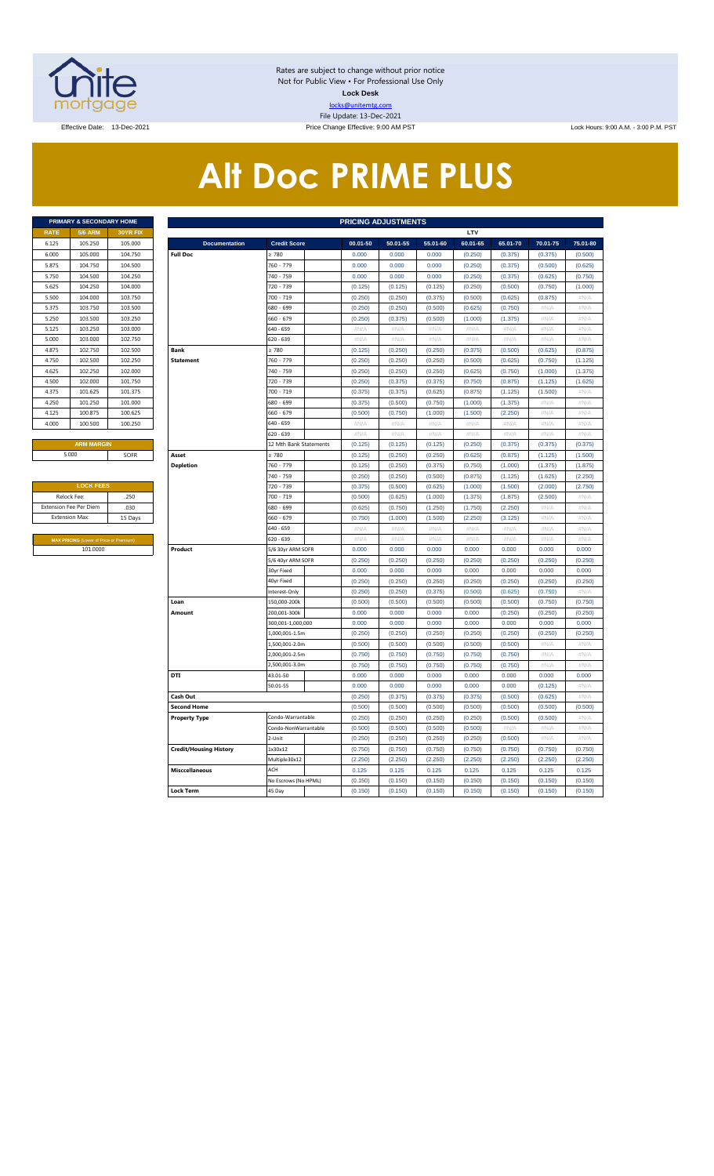

Rates are subject to change without prior notice Not for Public View • For Professional Use Only **Lock Desk** locks@unitemtg.com File Update: 13-Dec-2021

Effective Date: 13-Dec-2021 **Price Change Effective: 9:00 AM PST** Lock Hours: 9:00 A.M. - 3:00 P.M. PST

# **Alt Doc PRIME PLUS**

|             | <b>PRIMARY &amp; SECONDARY HOME</b> |                 |
|-------------|-------------------------------------|-----------------|
| <b>RATE</b> | <b>5/6 ARM</b>                      | <b>30YR FIX</b> |
| 6.125       | 105.250                             | 105,000         |
| 6.000       | 105,000                             | 104.750         |
| 5.875       | 104.750                             | 104.500         |
| 5.750       | 104.500                             | 104.250         |
| 5.625       | 104.250                             | 104.000         |
| 5.500       | 104.000                             | 103.750         |
| 5.375       | 103.750                             | 103.500         |
| 5.250       | 103,500                             | 103.250         |
| 5.125       | 103.250                             | 103,000         |
| 5.000       | 103,000                             | 102.750         |
| 4.875       | 102.750                             | 102.500         |
| 4.750       | 102.500                             | 102.250         |
| 4.625       | 102.250                             | 102.000         |
| 4.500       | 102,000                             | 101.750         |
| 4.375       | 101.625                             | 101.375         |
| 4.250       | 101.250                             | 101.000         |
| 4.125       | 100.875                             | 100.625         |
| 4.000       | 100.500                             | 100.250         |
|             |                                     |                 |

| <b>LOCK FEES</b>                               |         |
|------------------------------------------------|---------|
| Relock Fee:                                    | .250    |
| <b>Extension Fee Per Diem</b>                  | .030    |
| <b>Extension Max:</b>                          | 15 Days |
|                                                |         |
| <b>MAX PRICING (Lower of Price or Premium)</b> |         |
| 101.0000                                       |         |

|                               | PRIMARY & SECONDARY HOME                       |          |                               |                        |          | <b>PRICING ADJUSTMENTS</b> |          |          |          |          |          |
|-------------------------------|------------------------------------------------|----------|-------------------------------|------------------------|----------|----------------------------|----------|----------|----------|----------|----------|
| RATE                          | <b>5/6 ARM</b>                                 | 30YR FIX |                               |                        |          |                            |          | LTV      |          |          |          |
| 6.125                         | 105.250                                        | 105.000  | <b>Documentation</b>          | <b>Credit Score</b>    | 00.01-50 | 50.01-55                   | 55.01-60 | 60.01-65 | 65.01-70 | 70.01-75 | 75.01-80 |
| 6.000                         | 105.000                                        | 104.750  | <b>Full Doc</b>               | $\geq 780$             | 0.000    | 0.000                      | 0.000    | (0.250)  | (0.375)  | (0.375)  | (0.500)  |
| 5.875                         | 104.750                                        | 104.500  |                               | 760 - 779              | 0.000    | 0.000                      | 0.000    | (0.250)  | (0.375)  | (0.500)  | (0.625)  |
| 5.750                         | 104.500                                        | 104.250  |                               | 740 - 759              | 0.000    | 0.000                      | 0.000    | (0.250)  | (0.375)  | (0.625)  | (0.750)  |
| 5.625                         | 104.250                                        | 104.000  |                               | 720 - 739              | (0.125)  | (0.125)                    | (0.125)  | (0.250)  | (0.500)  | (0.750)  | (1.000)  |
| 5.500                         | 104.000                                        | 103.750  |                               | 700 - 719              | (0.250)  | (0.250)                    | (0.375)  | (0.500)  | (0.625)  | (0.875)  | #N/A     |
| 5.375                         | 103.750                                        | 103.500  |                               | 680 - 699              | (0.250)  | (0.250)                    | (0.500)  | (0.625)  | (0.750)  | # $N/A$  | #N/A     |
| 5.250                         | 103.500                                        | 103.250  |                               | $560 - 679$            | (0.250)  | (0.375)                    | (0.500)  | (1.000)  | (1.375)  | #N/A     | #N/A     |
| 5.125                         | 103.250                                        | 103.000  |                               | 640 - 659              | #N/A     | #N/A                       | #N/A     | $\#N/A$  | #N/A     | #N/A     | #N/A     |
| 5.000                         | 103.000                                        | 102.750  |                               | 620 - 639              | #N/A     | $\#N/A$                    | #N/A     | $\#N/A$  | #N/A     | #N/A     | $\#N/A$  |
| 4.875                         | 102.750                                        | 102.500  | Rank                          | > 780                  | (0.125)  | (0.250)                    | (0.250)  | (0.375)  | (0.500)  | (0.625)  | (0.875)  |
| 4.750                         | 102.500                                        | 102.250  | <b>Statement</b>              | 760 - 779              | (0.250)  | (0.250)                    | (0.250)  | (0.500)  | (0.625)  | (0.750)  | (1.125)  |
| 4.625                         | 102.250                                        | 102.000  |                               | 740 - 759              | (0.250)  | (0.250)                    | (0.250)  | (0.625)  | (0.750)  | (1.000)  | (1.375)  |
| 4.500                         | 102.000                                        | 101.750  |                               | 720 - 739              | (0.250)  | (0.375)                    | (0.375)  | (0.750)  | (0.875)  | (1.125)  | (1.625)  |
| 4.375                         | 101.625                                        | 101.375  |                               | 700 - 719              | (0.375)  | (0.375)                    | (0.625)  | (0.875)  | (1.125)  | (1.500)  | #N/A     |
| 4.250                         | 101.250                                        | 101.000  |                               | 680 - 699              | (0.375)  | (0.500)                    | (0.750)  | (1.000)  | (1.375)  | #N/A     | #N/A     |
| 4.125                         | 100.875                                        | 100.625  |                               | 560 - 679              | (0.500)  | (0.750)                    | (1.000)  | (1.500)  | (2.250)  | #N/A     | #N/A     |
| 4.000                         | 100.500                                        | 100.250  |                               | 640 - 659              | $\#N/A$  | #N/A                       | #N/A     | #N/A     | #N/A     | #N/A     | #N/A     |
|                               |                                                |          |                               | 620 - 639              | #N/A     | #N/A                       | #N/A     | #N/A     | #N/A     | #N/A     | $\#N/A$  |
|                               | <b>ARM MARGIN</b>                              |          |                               | 12 Mth Bank Statements | (0.125)  | (0.125)                    | (0.125)  | (0.250)  | (0.375)  | (0.375)  | (0.375)  |
|                               | 5.000                                          | SOFR     | Asset                         | $\geq 780$             | (0.125)  | (0.250)                    | (0.250)  | (0.625)  | (0.875)  | (1.125)  | (1.500)  |
|                               |                                                |          | <b>Depletion</b>              | 760 - 779              | (0.125)  | (0.250)                    | (0.375)  | (0.750)  | (1.000)  | (1.375)  | (1.875)  |
|                               |                                                |          |                               | 740 - 759              | (0.250)  | (0.250)                    | (0.500)  | (0.875)  | (1.125)  | (1.625)  | (2.250)  |
|                               | <b>LOCK FEES</b>                               |          |                               | 720 - 739              | (0.375)  | (0.500)                    | (0.625)  | (1.000)  | (1.500)  | (2.000)  | (2.750)  |
| Relock Fee:<br>.250           |                                                |          |                               | 700 - 719              | (0.500)  | (0.625)                    | (1.000)  | (1.375)  | (1.875)  | (2.500)  | #N/A     |
| xtension Fee Per Diem<br>.030 |                                                |          |                               | 680 - 699              | (0.625)  | (0.750)                    | (1.250)  | (1.750)  | (2.250)  | # $N/A$  | #N/A     |
|                               | <b>Extension Max:</b>                          | 15 Days  |                               | 660 - 679              | (0.750)  | (1.000)                    | (1.500)  | (2.250)  | (3.125)  | #N/A     | $\#N/A$  |
|                               |                                                |          |                               | 640 - 659              | $\#N/A$  | #N/A                       | #N/A     | $\#N/A$  | $\#N/A$  | #N/A     | #N/A     |
|                               | <b>MAX PRICING (Lower of Price or Premium)</b> |          |                               | 620 - 639              | #N/A     | #N/A                       | #N/A     | #N/A     | #N/A     | #N/A     | #N/A     |
|                               | 101.0000                                       |          | Product                       | 5/6 30yr ARM SOFR      | 0.000    | 0.000                      | 0.000    | 0.000    | 0.000    | 0.000    | 0.000    |
|                               |                                                |          |                               | 5/6 40yr ARM SOFR      | (0.250)  | (0.250)                    | (0.250)  | (0.250)  | (0.250)  | (0.250)  | (0.250)  |
|                               |                                                |          |                               | 30yr Fixed             | 0.000    | 0.000                      | 0.000    | 0.000    | 0.000    | 0.000    | 0.000    |
|                               |                                                |          |                               | 40yr Fixed             | (0.250)  | (0.250)                    | (0.250)  | (0.250)  | (0.250)  | (0.250)  | (0.250)  |
|                               |                                                |          |                               | Interest-Only          | (0.250)  | (0.250)                    | (0.375)  | (0.500)  | (0.625)  | (0.750)  | $\#N/A$  |
|                               |                                                |          | Loan                          | 150.000-200k           | (0.500)  | (0.500)                    | (0.500)  | (0.500)  | (0.500)  | (0.750)  | (0.750)  |
|                               |                                                |          | Amount                        | 200,001-300k           | 0.000    | 0.000                      | 0.000    | 0.000    | (0.250)  | (0.250)  | (0.250)  |
|                               |                                                |          |                               | 300,001-1,000,000      | 0.000    | 0.000                      | 0.000    | 0.000    | 0.000    | 0.000    | 0.000    |
|                               |                                                |          |                               | 1,000,001-1.5m         | (0.250)  | (0.250)                    | (0.250)  | (0.250)  | (0.250)  | (0.250)  | (0.250)  |
|                               |                                                |          |                               | .,500,001-2.0m         | (0.500)  | (0.500)                    | (0.500)  | (0.500)  | (0.500)  | #N//     | #N//     |
|                               |                                                |          |                               | 2,000,001-2.5m         | (0.750)  | (0.750)                    | (0.750)  | (0.750)  | (0.750)  | #N/A     | #N/A     |
|                               |                                                |          |                               | .500.001-3.0m          | (0.750)  | (0.750)                    | (0.750)  | (0.750)  | (0.750)  | $\#N/F$  | #N/A     |
|                               |                                                |          | DTI                           | 43.01-50               | 0.000    | 0.000                      | 0.000    | 0.000    | 0.000    | 0.000    | 0.000    |
|                               |                                                |          |                               | 50.01-55               | 0.000    | 0.000                      | 0.000    | 0.000    | 0.000    | (0.125)  | $\#N/A$  |
|                               |                                                |          | Cash Out                      |                        | (0.250)  | (0.375)                    | (0.375)  | (0.375)  | (0.500)  | (0.625)  | #N/A     |
|                               |                                                |          | <b>Second Home</b>            |                        | (0.500)  | (0.500)                    | (0.500)  | (0.500)  | (0.500)  | (0.500)  | (0.500)  |
|                               |                                                |          | <b>Property Type</b>          | Condo-Warrantable      | (0.250)  | (0.250)                    | (0.250)  | (0.250)  | (0.500)  | (0.500)  | $\#N/A$  |
|                               |                                                |          |                               | Condo-NonWarrantable   | (0.500)  | (0.500)                    | (0.500)  | (0.500)  | #N/A     | #N/A     | #N/A     |
|                               |                                                |          |                               | 2-Unit                 | (0.250)  | (0.250)                    | (0.250)  | (0.250)  | (0.500)  | #N/A     | #N/A     |
|                               |                                                |          | <b>Credit/Housing History</b> | 1x30x12                | (0.750)  | (0.750)                    | (0.750)  | (0.750)  | (0.750)  | (0.750)  | (0.750)  |
|                               |                                                |          |                               | Multiple30x12          | (2.250)  | (2.250)                    | (2.250)  | (2.250)  | (2.250)  | (2.250)  | (2.250)  |
|                               |                                                |          | <b>Misccellaneous</b>         | ACH                    | 0.125    | 0.125                      | 0.125    | 0.125    | 0.125    | 0.125    | 0.125    |
|                               |                                                |          |                               | No Escrows (No HPML)   | (0.150)  | (0.150)                    | (0.150)  | (0.150)  | (0.150)  | (0.150)  | (0.150)  |
|                               |                                                |          | <b>Lock Term</b>              | 45 Day                 | (0.150)  | (0.150)                    | (0.150)  | (0.150)  | (0.150)  | (0.150)  | (0.150)  |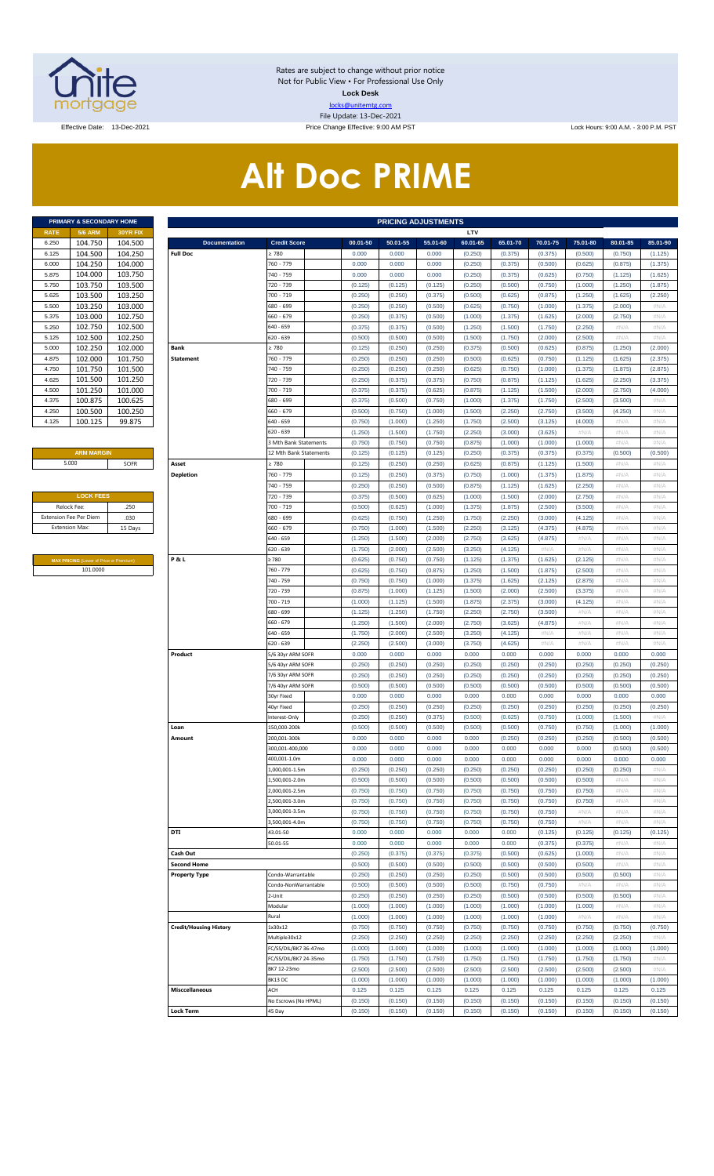

Rates are subject to change without prior notice Not for Public View • For Professional Use Only **Lock Desk** locks@unitemtg.com File Update: 13-Dec-2021

Effective Date: 13-Dec-2021 **Price Change Effective: 9:00 AM PST** Lock Hours: 9:00 A.M. - 3:00 P.M. PST

# **Alt Doc PRIME**

|             | <b>PRIMARY &amp; SECONDARY HOME</b> |                 |
|-------------|-------------------------------------|-----------------|
| <b>RATE</b> | <b>5/6 ARM</b>                      | <b>30YR FIX</b> |
| 6.250       | 104.750                             | 104.500         |
| 6.125       | 104.500                             | 104.250         |
| 6.000       | 104.250                             | 104.000         |
| 5.875       | 104.000                             | 103.750         |
| 5.750       | 103.750                             | 103.500         |
| 5.625       | 103.500                             | 103.250         |
| 5.500       | 103.250                             | 103.000         |
| 5.375       | 103.000                             | 102.750         |
| 5.250       | 102.750                             | 102.500         |
| 5.125       | 102.500                             | 102.250         |
| 5.000       | 102.250                             | 102.000         |
| 4.875       | 102.000                             | 101.750         |
| 4.750       | 101.750                             | 101.500         |
| 4.625       | 101.500                             | 101.250         |
| 4.500       | 101.250                             | 101.000         |
| 4.375       | 100.875                             | 100.625         |
| 4.250       | 100.500                             | 100.250         |
| 4.125       | 100.125                             | 99.875          |

#### **ARM MARGIN**

| <b>LOCK FEES</b>              |         |
|-------------------------------|---------|
| Relock Fee:                   | .250    |
| <b>Extension Fee Per Diem</b> | .030    |
| <b>Extension Max:</b>         | 15 Days |
|                               |         |

**MAX PRICING** (Lower of Price or Premium) 101.0000

|                | PRIMARY & SECONDARY HOME                |          | <b>PRICING ADJUSTMENTS</b>    |                        |          |          |          |          |          |          |          |          |          |  |
|----------------|-----------------------------------------|----------|-------------------------------|------------------------|----------|----------|----------|----------|----------|----------|----------|----------|----------|--|
| RATE           | <b>5/6 ARM</b>                          | 30YR FIX |                               |                        |          |          |          | LTV      |          |          |          |          |          |  |
| 6.250          | 104.750                                 | 104.500  | <b>Documentation</b>          | <b>Credit Score</b>    | 00.01-50 | 50.01-55 | 55.01-60 | 60.01-65 | 65.01-70 | 70.01-75 | 75.01-80 | 80.01-85 | 85.01-90 |  |
| 6.125          | 104.500                                 | 104.250  | <b>Full Doc</b>               | 2780                   | 0.000    | 0.000    | 0.000    | (0.250)  | (0.375)  | (0.375)  | (0.500)  | (0.750)  | (1.125)  |  |
| 6.000          | 104.250                                 | 104.000  |                               | 760 - 779              | 0.000    | 0.000    | 0.000    | (0.250)  | (0.375)  | (0.500)  | (0.625)  | (0.875)  | (1.375)  |  |
| 5.875          | 104.000                                 | 103.750  |                               | 740 - 759              | 0.000    | 0.000    | 0.000    | (0.250)  | (0.375)  | (0.625)  | (0.750)  | (1.125)  | (1.625)  |  |
| 5.750          | 103.750                                 | 103.500  |                               | 720 - 739              | (0.125)  | (0.125)  | (0.125)  | (0.250)  | (0.500)  | (0.750)  | (1.000)  | (1.250)  | (1.875)  |  |
| 5.625          | 103.500                                 | 103.250  |                               | 700 - 719              | (0.250)  | (0.250)  | (0.375)  | (0.500)  | (0.625)  | (0.875)  | (1.250)  | (1.625)  | (2.250)  |  |
| 5.500          | 103.250                                 | 103.000  |                               | 680 - 699              | (0.250)  | (0.250)  | (0.500)  | (0.625)  | (0.750)  | (1.000)  | (1.375)  | (2.000)  | #N/A     |  |
| 5.375          | 103.000                                 | 102.750  |                               | $660 - 679$            | (0.250)  | (0.375)  | (0.500)  | (1.000)  | (1.375)  | (1.625)  | (2.000)  | (2.750)  | #N/A     |  |
| 5.250          | 102.750                                 | 102.500  |                               | 640 - 659              | (0.375)  | (0.375)  | (0.500)  | (1.250)  | (1.500)  | (1.750)  | (2.250)  | #N/A     | #N/A     |  |
| 5.125          | 102.500                                 | 102.250  |                               | 620 - 639              | (0.500)  | (0.500)  | (0.500)  | (1.500)  | (1.750)  | (2.000)  | (2.500)  | #N/A     | #N/A     |  |
| 5.000          | 102.250                                 | 102.000  | Bank                          | 2 780                  | (0.125)  | (0.250)  | (0.250)  | (0.375)  | (0.500)  | (0.625)  | (0.875)  | (1.250)  | (2.000)  |  |
| 4.875          | 102.000                                 | 101.750  | <b>Statement</b>              | 760 - 779              | (0.250)  | (0.250)  | (0.250)  | (0.500)  | (0.625)  | (0.750)  | (1.125)  | (1.625)  | (2.375)  |  |
| 4.750          | 101.750                                 | 101.500  |                               | 740 - 759              | (0.250)  | (0.250)  | (0.250)  | (0.625)  | (0.750)  | (1.000)  | (1.375)  | (1.875)  | (2.875)  |  |
|                |                                         |          |                               |                        |          |          |          |          |          |          |          |          |          |  |
| 4.625          | 101.500                                 | 101.250  |                               | 720 - 739              | (0.250)  | (0.375)  | (0.375)  | (0.750)  | (0.875)  | (1.125)  | (1.625)  | (2.250)  | (3.375)  |  |
| 4.500          | 101.250                                 | 101.000  |                               | 700 - 719              | (0.375)  | (0.375)  | (0.625)  | (0.875)  | (1.125)  | (1.500)  | (2.000)  | (2.750)  | (4.000)  |  |
| 4.375          | 100.875                                 | 100.625  |                               | 680 - 699              | (0.375)  | (0.500)  | (0.750)  | (1.000)  | (1.375)  | (1.750)  | (2.500)  | (3.500)  | #N/A     |  |
| 4.250          | 100.500                                 | 100.250  |                               | $660 - 679$            | (0.500)  | (0.750)  | (1.000)  | (1.500)  | (2.250)  | (2.750)  | (3.500)  | (4.250)  | #N/A     |  |
| 4.125          | 100.125                                 | 99.875   |                               | 640 - 659              | (0.750)  | (1.000)  | (1.250)  | (1.750)  | (2.500)  | (3.125)  | (4.000)  | #N/A     | #N/A     |  |
|                |                                         |          |                               | 620 - 639              | (1.250)  | (1.500)  | (1.750)  | (2.250)  | (3.000)  | (3.625)  | #N/A     | #N/A     | #N/A     |  |
|                |                                         |          |                               | 3 Mth Bank Statements  | (0.750)  | (0.750)  | (0.750)  | (0.875)  | (1.000)  | (1.000)  | (1.000)  | #N/A     | #N/A     |  |
|                | <b>ARM MARGIN</b>                       |          |                               | 12 Mth Bank Statements | (0.125)  | (0.125)  | (0.125)  | (0.250)  | (0.375)  | (0.375)  | (0.375)  | (0.500)  | (0.500)  |  |
| 5.000          |                                         | SOFR     | Asset                         | > 780                  | (0.125)  | (0.250)  | (0.250)  | (0.625)  | (0.875)  | (1.125)  | (1.500)  | #N/A     | #N/A     |  |
|                |                                         |          | <b>Depletion</b>              | 760 - 779              | (0.125)  | (0.250)  | (0.375)  | (0.750)  | (1.000)  | (1.375)  | (1.875)  | #N/A     | #N/A     |  |
|                |                                         |          |                               | 740 - 759              | (0.250)  | (0.250)  | (0.500)  | (0.875)  | (1.125)  | (1.625)  | (2.250)  | #N/A     | #N/A     |  |
|                | <b>LOCK FEES</b>                        |          |                               |                        |          |          |          |          |          |          |          |          |          |  |
|                |                                         |          |                               | 720 - 739              | (0.375)  | (0.500)  | (0.625)  | (1.000)  | (1.500)  | (2.000)  | (2.750)  | #N/A     | #N/A     |  |
| Relock Fee:    |                                         | .250     |                               | 700 - 719              | (0.500)  | (0.625)  | (1.000)  | (1.375)  | (1.875)  | (2.500)  | (3.500)  | #N/A     | #N/A     |  |
|                | xtension Fee Per Diem                   | .030     |                               | 680 - 699              | (0.625)  | (0.750)  | (1.250)  | (1.750)  | (2.250)  | (3.000)  | (4.125)  | #N/A     | #N/A     |  |
| Extension Max: |                                         | 15 Days  |                               | 660 - 679              | (0.750)  | (1.000)  | (1.500)  | (2.250)  | (3.125)  | (4.375)  | (4.875)  | #N/A     | #N/A     |  |
|                |                                         |          |                               | 640 - 659              | (1.250)  | (1.500)  | (2.000)  | (2.750)  | (3.625)  | (4.875)  | #N/A     | #N/A     | #N/A     |  |
|                |                                         |          |                               | 620 - 639              | (1.750)  | (2.000)  | (2.500)  | (3.250)  | (4.125)  | #N/A     | #N/A     | #N/A     | #N/A     |  |
|                | MAX PRICING (Lower of Price or Premium) |          | <b>P&amp;L</b>                | 2780                   | (0.625)  | (0.750)  | (0.750)  | (1.125)  | (1.375)  | (1.625)  | (2.125)  | #N/A     | #N/A     |  |
|                | 101.0000                                |          |                               | 760 - 779              | (0.625)  | (0.750)  | (0.875)  | (1.250)  | (1.500)  | (1.875)  | (2.500)  | #N/A     | #N/A     |  |
|                |                                         |          |                               | 740 - 759              | (0.750)  | (0.750)  | (1.000)  | (1.375)  | (1.625)  | (2.125)  | (2.875)  | #N/A     | #N/A     |  |
|                |                                         |          |                               | 720 - 739              | (0.875)  | (1.000)  | (1.125)  | (1.500)  | (2.000)  | (2.500)  | (3.375)  | #N/A     | #N/A     |  |
|                |                                         |          |                               | 700 - 719              | (1.000)  | (1.125)  | (1.500)  | (1.875)  | (2.375)  | (3.000)  | (4.125)  | #N/A     | #N/A     |  |
|                |                                         |          |                               | 680 - 699              | (1.125)  | (1.250)  | (1.750)  | (2.250)  | (2.750)  | (3.500)  | #N/A     | #N/A     | #N/A     |  |
|                |                                         |          |                               |                        |          |          |          |          |          |          |          |          |          |  |
|                |                                         |          |                               | 660 - 679              | (1.250)  | (1.500)  | (2.000)  | (2.750)  | (3.625)  | (4.875)  | #N/A     | #N/A     | #N/A     |  |
|                |                                         |          |                               | 640 - 659              | (1.750)  | (2.000)  | (2.500)  | (3.250)  | (4.125)  | #N/A     | #N/A     | #N/A     | #N/A     |  |
|                |                                         |          |                               | 520 - 639              | (2.250)  | (2.500)  | (3.000)  | (3.750)  | (4.625)  | #N/A     | #N/A     | #N/A     | #N/A     |  |
|                |                                         |          | Product                       | 5/6 30yr ARM SOFR      | 0.000    | 0.000    | 0.000    | 0.000    | 0.000    | 0.000    | 0.000    | 0.000    | 0.000    |  |
|                |                                         |          |                               | 5/6 40yr ARM SOFR      | (0.250)  | (0.250)  | (0.250)  | (0.250)  | (0.250)  | (0.250)  | (0.250)  | (0.250)  | (0.250)  |  |
|                |                                         |          |                               | 7/6 30yr ARM SOFR      | (0.250)  | (0.250)  | (0.250)  | (0.250)  | (0.250)  | (0.250)  | (0.250)  | (0.250)  | (0.250)  |  |
|                |                                         |          |                               | 7/6 40yr ARM SOFR      | (0.500)  | (0.500)  | (0.500)  | (0.500)  | (0.500)  | (0.500)  | (0.500)  | (0.500)  | (0.500)  |  |
|                |                                         |          |                               | 30yr Fixed             | 0.000    | 0.000    | 0.000    | 0.000    | 0.000    | 0.000    | 0.000    | 0.000    | 0.000    |  |
|                |                                         |          |                               | 40yr Fixed             | (0.250)  | (0.250)  | (0.250)  | (0.250)  | (0.250)  | (0.250)  | (0.250)  | (0.250)  | (0.250)  |  |
|                |                                         |          |                               | nterest-Only           | (0.250)  | (0.250)  | (0.375)  | (0.500)  | (0.625)  | (0.750)  | (1.000)  | (1.500)  | #N/A     |  |
|                |                                         |          | Loan                          | 150.000-200k           | (0.500)  | (0.500)  | (0.500)  | (0.500)  | (0.500)  | (0.750)  | (0.750)  | (1.000)  | (1.000)  |  |
|                |                                         |          | Amount                        | 200,001-300k           | 0.000    | 0.000    | 0.000    | 0.000    | (0.250)  | (0.250)  | (0.250)  | (0.500)  | (0.500)  |  |
|                |                                         |          |                               | 300,001-400,000        | 0.000    | 0.000    | 0.000    | 0.000    | 0.000    | 0.000    | 0.000    | (0.500)  | (0.500)  |  |
|                |                                         |          |                               | 400,001-1.0m           | 0.000    | 0.000    | 0.000    | 0.000    | 0.000    | 0.000    | 0.000    | 0.000    | 0.000    |  |
|                |                                         |          |                               | .,000,001-1.5m         | (0.250)  | (0.250)  | (0.250)  | (0.250)  | (0.250)  | (0.250)  | (0.250)  | (0.250)  | #N/A     |  |
|                |                                         |          |                               |                        |          |          |          |          |          |          |          |          | #N/A     |  |
|                |                                         |          |                               | ,500,001-2.0m          | (0.500)  | (0.500)  | (0.500)  | (0.500)  | (0.500)  | (0.500)  | (0.500)  | #N/A     |          |  |
|                |                                         |          |                               | ,000,001-2.5m          | (0.750)  | (0.750)  | (0.750)  | (0.750)  | (0.750)  | (0.750)  | (0.750)  | #N/A     | #N/A     |  |
|                |                                         |          |                               | ,500,001-3.0m          | (0.750)  | (0.750)  | (0.750)  | (0.750)  | (0.750)  | (0.750)  | (0.750)  | #N/A     | #N/A     |  |
|                |                                         |          |                               | 000,001-3.5m           | (0.750)  | (0.750)  | (0.750)  | (0.750)  | (0.750)  | (0.750)  | #N/A     | #N/A     | #N/A     |  |
|                |                                         |          |                               | ,500,001-4.0m          | (0.750)  | (0.750)  | (0.750)  | (0.750)  | (0.750)  | (0.750)  | #N/A     | #N/A     | #N/A     |  |
|                |                                         |          | DTI                           | 43.01-50               | 0.000    | 0.000    | 0.000    | 0.000    | 0.000    | (0.125)  | (0.125)  | (0.125)  | (0.125)  |  |
|                |                                         |          |                               | 50.01-55               | 0.000    | 0.000    | 0.000    | 0.000    | 0.000    | (0.375)  | (0.375)  | #N/A     | #N/A     |  |
|                |                                         |          | Cash Out                      |                        | (0.250)  | (0.375)  | (0.375)  | (0.375)  | (0.500)  | (0.625)  | (1.000)  | #N/A     | #N/A     |  |
|                |                                         |          | <b>Second Home</b>            |                        | (0.500)  | (0.500)  | (0.500)  | (0.500)  | (0.500)  | (0.500)  | (0.500)  | #N/A     | #N/A     |  |
|                |                                         |          | <b>Property Type</b>          | Condo-Warrantable      | (0.250)  | (0.250)  | (0.250)  | (0.250)  | (0.500)  | (0.500)  | (0.500)  | (0.500)  | #N/A     |  |
|                |                                         |          |                               | Condo-NonWarrantable   | (0.500)  | (0.500)  | (0.500)  | (0.500)  | (0.750)  | (0.750)  | #N/A     | #N/A     | #N/A     |  |
|                |                                         |          |                               | !-Unit                 | (0.250)  | (0.250)  | (0.250)  | (0.250)  | (0.500)  | (0.500)  | (0.500)  | (0.500)  | #N/A     |  |
|                |                                         |          |                               | Modular                | (1.000)  | (1.000)  | (1.000)  | (1.000)  | (1.000)  | (1.000)  | (1.000)  | #N/A     | #N/A     |  |
|                |                                         |          |                               | Rural                  | (1.000)  | (1.000)  | (1.000)  | (1.000)  | (1.000)  | (1.000)  | #N/A     | #N/A     | #N/A     |  |
|                |                                         |          | <b>Credit/Housing History</b> | 1x30x12                | (0.750)  | (0.750)  | (0.750)  | (0.750)  | (0.750)  | (0.750)  | (0.750)  | (0.750)  | (0.750)  |  |
|                |                                         |          |                               |                        | (2.250)  | (2.250)  |          |          |          | (2.250)  |          |          | #N/A     |  |
|                |                                         |          |                               | Multiple30x12          |          |          | (2.250)  | (2.250)  | (2.250)  |          | (2.250)  | (2.250)  |          |  |
|                |                                         |          |                               | FC/SS/DIL/BK7 36-47mo  | (1.000)  | (1.000)  | (1.000)  | (1.000)  | (1.000)  | (1.000)  | (1.000)  | (1.000)  | (1.000)  |  |
|                |                                         |          |                               | FC/SS/DIL/BK7 24-35mo  | (1.750)  | (1.750)  | (1.750)  | (1.750)  | (1.750)  | (1.750)  | (1.750)  | (1.750)  | #N/A     |  |
|                |                                         |          |                               | BK7 12-23mo            | (2.500)  | (2.500)  | (2.500)  | (2.500)  | (2.500)  | (2.500)  | (2.500)  | (2.500)  | #N/A     |  |
|                |                                         |          |                               | BK13 DC                | (1.000)  | (1.000)  | (1.000)  | (1.000)  | (1.000)  | (1.000)  | (1.000)  | (1.000)  | (1.000)  |  |
|                |                                         |          | <b>Misccellaneous</b>         | ACH                    | 0.125    | 0.125    | 0.125    | 0.125    | 0.125    | 0.125    | 0.125    | 0.125    | 0.125    |  |
|                |                                         |          |                               | No Escrows (No HPML)   | (0.150)  | (0.150)  | (0.150)  | (0.150)  | (0.150)  | (0.150)  | (0.150)  | (0.150)  | (0.150)  |  |
|                |                                         |          | <b>Lock Term</b>              | 45 Day                 | (0.150)  | (0.150)  | (0.150)  | (0.150)  | (0.150)  | (0.150)  | (0.150)  | (0.150)  | (0.150)  |  |
|                |                                         |          |                               |                        |          |          |          |          |          |          |          |          |          |  |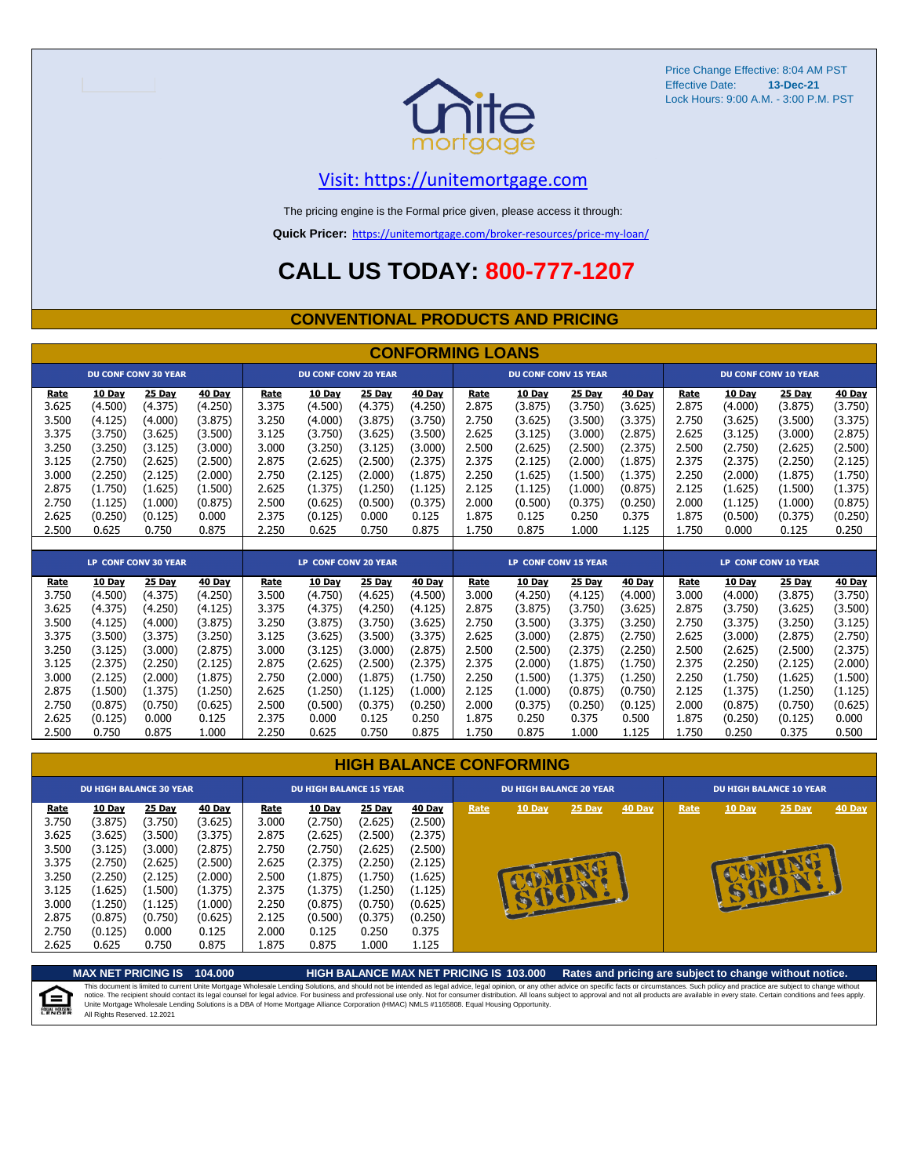

#### [V](https://unitemortgage.com/)isit: https://unitemortgage.com

The pricing engine is the Formal price given, please access it through:

**Quick Pricer:** [https://un](https://unitemortgage.com/broker-resources/price-my-loan/)itemortgage.com/broker-resources/price-my-loan/

### **CALL US TODAY: 800-777-1207**

#### **CONVENTIONAL PRODUCTS AND PRICING**

|       |         |                             |         |       |                             |         | <b>CONFORMING LOANS</b> |       |                             |               |               |       |               |                             |               |
|-------|---------|-----------------------------|---------|-------|-----------------------------|---------|-------------------------|-------|-----------------------------|---------------|---------------|-------|---------------|-----------------------------|---------------|
|       |         | <b>DU CONF CONV 30 YEAR</b> |         |       | <b>DU CONF CONV 20 YEAR</b> |         |                         |       | <b>DU CONF CONV 15 YEAR</b> |               |               |       |               | <b>DU CONF CONV 10 YEAR</b> |               |
| Rate  | 10 Day  | 25 Day                      | 40 Day  | Rate  | 10 Day                      | 25 Day  | 40 Day                  | Rate  | 10 Day                      | 25 Day        | 40 Day        | Rate  | 10 Day        | 25 Day                      | 40 Day        |
| 3.625 | (4.500) | (4.375)                     | (4.250) | 3.375 | (4.500)                     | (4.375) | (4.250)                 | 2.875 | (3.875)                     | (3.750)       | (3.625)       | 2.875 | (4.000)       | (3.875)                     | (3.750)       |
| 3.500 | (4.125) | (4.000)                     | (3.875) | 3.250 | (4.000)                     | (3.875) | (3.750)                 | 2.750 | (3.625)                     | (3.500)       | (3.375)       | 2.750 | (3.625)       | (3.500)                     | (3.375)       |
| 3.375 | (3.750) | (3.625)                     | (3.500) | 3.125 | (3.750)                     | (3.625) | (3.500)                 | 2.625 | (3.125)                     | (3.000)       | (2.875)       | 2.625 | (3.125)       | (3.000)                     | (2.875)       |
| 3.250 | (3.250) | (3.125)                     | (3.000) | 3.000 | (3.250)                     | (3.125) | (3.000)                 | 2.500 | (2.625)                     | (2.500)       | (2.375)       | 2.500 | (2.750)       | (2.625)                     | (2.500)       |
| 3.125 | (2.750) | (2.625)                     | (2.500) | 2.875 | (2.625)                     | (2.500) | (2.375)                 | 2.375 | (2.125)                     | (2.000)       | (1.875)       | 2.375 | (2.375)       | (2.250)                     | (2.125)       |
| 3.000 | (2.250) | (2.125)                     | (2.000) | 2.750 | (2.125)                     | (2.000) | (1.875)                 | 2.250 | (1.625)                     | (1.500)       | (1.375)       | 2.250 | (2.000)       | (1.875)                     | (1.750)       |
| 2.875 | (1.750) | (1.625)                     | (1.500) | 2.625 | (1.375)                     | (1.250) | (1.125)                 | 2.125 | (1.125)                     | (1.000)       | (0.875)       | 2.125 | (1.625)       | (1.500)                     | (1.375)       |
| 2.750 | (1.125) | (1.000)                     | (0.875) | 2.500 | (0.625)                     | (0.500) | (0.375)                 | 2.000 | (0.500)                     | (0.375)       | (0.250)       | 2.000 | (1.125)       | (1.000)                     | (0.875)       |
| 2.625 | (0.250) | (0.125)                     | 0.000   | 2.375 | (0.125)                     | 0.000   | 0.125                   | 1.875 | 0.125                       | 0.250         | 0.375         | 1.875 | (0.500)       | (0.375)                     | (0.250)       |
| 2.500 | 0.625   | 0.750                       | 0.875   | 2.250 | 0.625                       | 0.750   | 0.875                   | 1.750 | 0.875                       | 1.000         | 1.125         | 1.750 | 0.000         | 0.125                       | 0.250         |
|       |         |                             |         |       |                             |         |                         |       |                             |               |               |       |               |                             |               |
|       |         | <b>LP CONF CONV 30 YEAR</b> |         |       | LP CONF CONV 20 YEAR        |         |                         |       | <b>LP CONF CONV 15 YEAR</b> |               |               |       |               | LP CONF CONV 10 YEAR        |               |
| Rate  | 10 Day  | 25 Day                      | 40 Day  | Rate  | 10 Day                      | 25 Day  | <b>40 Day</b>           | Rate  | 10 Day                      | <b>25 Day</b> | <b>40 Day</b> | Rate  | <b>10 Day</b> | 25 Day                      | <b>40 Day</b> |
| 3.750 | (4.500) | (4.375)                     | (4.250) | 3.500 | (4.750)                     | (4.625) | (4.500)                 | 3.000 | (4.250)                     | (4.125)       | (4.000)       | 3.000 | (4.000)       | (3.875)                     | (3.750)       |
| 3.625 | (4.375) | (4.250)                     | (4.125) | 3.375 | (4.375)                     | (4.250) | (4.125)                 | 2.875 | (3.875)                     | (3.750)       | (3.625)       | 2.875 | (3.750)       | (3.625)                     | (3.500)       |
| 3.500 | (4.125) | (4.000)                     | (3.875) | 3.250 | (3.875)                     | (3.750) | (3.625)                 | 2.750 | (3.500)                     | (3.375)       | (3.250)       | 2.750 | (3.375)       | (3.250)                     | (3.125)       |
| 3.375 | (3.500) | (3.375)                     | (3.250) | 3.125 | (3.625)                     | (3.500) | (3.375)                 | 2.625 | (3.000)                     | (2.875)       | (2.750)       | 2.625 | (3.000)       | (2.875)                     | (2.750)       |
| 3.250 | (3.125) | (3.000)                     | (2.875) | 3.000 | (3.125)                     | (3.000) | (2.875)                 | 2.500 | (2.500)                     | (2.375)       | (2.250)       | 2.500 | (2.625)       | (2.500)                     | (2.375)       |
| 3.125 | (2.375) | (2.250)                     | (2.125) | 2.875 | (2.625)                     | (2.500) | (2.375)                 | 2.375 | (2.000)                     | (1.875)       | (1.750)       | 2.375 | (2.250)       | (2.125)                     | (2.000)       |
| 3.000 | (2.125) | (2.000)                     | (1.875) | 2.750 | (2.000)                     | (1.875) | (1.750)                 | 2.250 | (1.500)                     | (1.375)       | (1.250)       | 2.250 | (1.750)       | (1.625)                     | (1.500)       |
| 2.875 | (1.500) | (1.375)                     | (1.250) | 2.625 | (1.250)                     | (1.125) | (1.000)                 | 2.125 | (1.000)                     | (0.875)       | (0.750)       | 2.125 | (1.375)       | (1.250)                     | (1.125)       |
| 2.750 | (0.875) | (0.750)                     | (0.625` | 2.500 | (0.500)                     | (0.375) | (0.250)                 | 2.000 | (0.375)                     | (0.250)       | (0.125)       | 2.000 | (0.875)       | (0.750)                     | (0.625)       |

#### **HIGH BALANCE CONFORMING**

2.625 (0.125) 0.000 0.125 2.375 0.000 0.125 0.250 1.875 0.250 0.375 0.500 1.875 (0.250) (0.125) 0.000 2.500 0.750 0.875 1.000 2.250 0.625 0.750 0.875 1.750 0.875 1.000 1.125 1.750 0.250 0.375 0.500

| <b>10 Day</b><br><b>25 Day</b><br><b>40 Day</b><br>25 Day<br><b>10 Day</b><br>25 Day<br>40 Day<br>10 Day<br><b>40 Day</b><br><b>10 Day</b><br>Rate<br>Rate<br>Rate<br>Rate<br>(3.625)<br>3.000<br>(2.500)<br>3.750<br>(3.875)<br>(3.750)<br>(2.750)<br>(2.625)<br>3.625<br>2.875<br>(2.375)<br>(2.625)<br>(2.500)<br>(3.625)<br>(3.500)<br>(3.375)<br>3.500<br>2.750<br>(2.750)<br>(2.625)<br>(2.500)<br>(3.125)<br>(3.000)<br>(2.875)                                                                                                                                                  | DU HIGH BALANCE 10 YEAR   |
|-----------------------------------------------------------------------------------------------------------------------------------------------------------------------------------------------------------------------------------------------------------------------------------------------------------------------------------------------------------------------------------------------------------------------------------------------------------------------------------------------------------------------------------------------------------------------------------------|---------------------------|
| 2.625<br>3.375<br>(2.500)<br>(2.750)<br>(2.625)<br>(2.375)<br>(2.250)<br>(2.125)<br>2.500<br>3.250<br>(2.250)<br>(2.000)<br>(1.625)<br>(2.125)<br>(1.875)<br>(1.750)<br>æ<br>(1.625)<br>(1.375)<br>2.375<br>(1.375)<br>(1.250)<br>3.125<br>(1.500)<br>(1.125)<br>3.000<br>(1.250)<br>(1.000)<br>2.250<br>(0.750)<br>(0.625)<br>(1.125)<br>(0.875)<br>2.875<br>2.125<br>(0.250)<br>(0.875)<br>(0.625)<br>(0.500)<br>(0.375)<br>(0.750)<br>2.000<br>0.000<br>0.125<br>0.250<br>2.750<br>(0.125)<br>0.125<br>0.375<br>2.625<br>0.625<br>0.750<br>0.875<br>1.875<br>0.875<br>1.000<br>1.125 | $25$ Day<br><b>40 Day</b> |

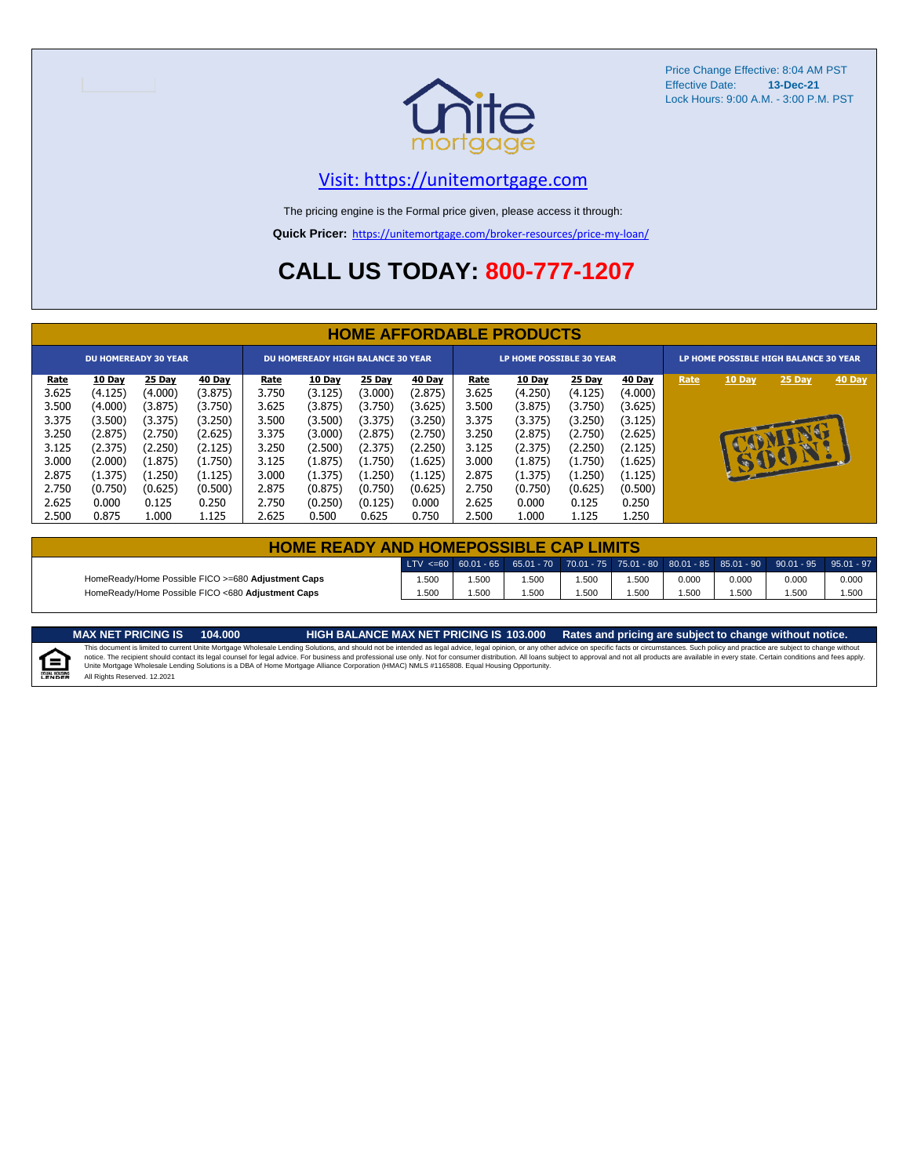

#### [V](https://unitemortgage.com/)isit: https://unitemortgage.com

The pricing engine is the Formal price given, please access it through:

**Quick Pricer:** [https://un](https://unitemortgage.com/broker-resources/price-my-loan/)itemortgage.com/broker-resources/price-my-loan/

## **CALL US TODAY: 800-777-1207**

|             | <b>HOME AFFORDABLE PRODUCTS</b> |                             |         |             |                                          |         |         |                                 |               |         |         |                                       |              |              |        |
|-------------|---------------------------------|-----------------------------|---------|-------------|------------------------------------------|---------|---------|---------------------------------|---------------|---------|---------|---------------------------------------|--------------|--------------|--------|
|             |                                 | <b>DU HOMEREADY 30 YEAR</b> |         |             | <b>DU HOMEREADY HIGH BALANCE 30 YEAR</b> |         |         | <b>LP HOME POSSIBLE 30 YEAR</b> |               |         |         | LP HOME POSSIBLE HIGH BALANCE 30 YEAR |              |              |        |
| <u>Rate</u> | 10 Day                          | 25 Day                      | 40 Day  | <u>Rate</u> | <b>10 Day</b>                            | 25 Day  | 40 Day  | <u>Rate</u>                     | <b>10 Day</b> | 25 Day  | 40 Day  | Rate                                  | 10 Day       | 25 Day       | 40 Day |
| 3.625       | (4.125)                         | (4.000)                     | (3.875) | 3.750       | (3.125)                                  | (3.000) | (2.875) | 3.625                           | (4.250)       | (4.125) | (4.000) |                                       |              |              |        |
| 3.500       | (4.000)                         | (3.875)                     | (3.750) | 3.625       | (3.875)                                  | (3.750) | (3.625) | 3.500                           | (3.875)       | (3.750) | (3.625) |                                       |              |              |        |
| 3.375       | (3.500)                         | (3.375)                     | (3.250) | 3.500       | (3.500)                                  | (3.375) | (3.250) | 3.375                           | (3.375)       | (3.250) | (3.125) |                                       |              |              |        |
| 3.250       | (2.875)                         | (2.750)                     | (2.625) | 3.375       | (3.000)                                  | (2.875) | (2.750) | 3.250                           | (2.875)       | (2.750) | (2.625) |                                       |              |              |        |
| 3.125       | (2.375)                         | (2.250)                     | (2.125) | 3.250       | (2.500)                                  | (2.375) | (2.250) | 3.125                           | (2.375)       | (2.250) | (2.125) |                                       |              |              |        |
| 3.000       | (2.000)                         | (1.875)                     | (1.750) | 3.125       | (1.875)                                  | (1.750) | (1.625) | 3.000                           | (1.875)       | (1.750) | (1.625) |                                       | $\mathbf{F}$ | $\mathbf{P}$ |        |
| 2.875       | (1.375)                         | (1.250)                     | (1.125) | 3.000       | (1.375)                                  | (1.250) | (1.125) | 2.875                           | (1.375)       | (1.250) | (1.125) |                                       |              |              |        |
| 2.750       | (0.750)                         | (0.625)                     | (0.500) | 2.875       | (0.875)                                  | (0.750) | (0.625) | 2.750                           | (0.750)       | (0.625) | (0.500) |                                       |              |              |        |
| 2.625       | 0.000                           | 0.125                       | 0.250   | 2.750       | (0.250)                                  | (0.125) | 0.000   | 2.625                           | 0.000         | 0.125   | 0.250   |                                       |              |              |        |
| 2.500       | 0.875                           | 1.000                       | 1.125   | 2.625       | 0.500                                    | 0.625   | 0.750   | 2.500                           | 1.000         | 1.125   | 1.250   |                                       |              |              |        |

| <b>HOME READY AND HOMEPOSSIBLE CAP LIMITS</b>      |      |      |      |       |       |       |       |                                                                                                                                                                        |       |  |  |  |  |
|----------------------------------------------------|------|------|------|-------|-------|-------|-------|------------------------------------------------------------------------------------------------------------------------------------------------------------------------|-------|--|--|--|--|
|                                                    |      |      |      |       |       |       |       | $\mid$ LTV <=60 $\mid$ 60.01 - 65 $\mid$ 65.01 - 70 $\mid$ 70.01 - 75 $\mid$ 75.01 - 80 $\mid$ 80.01 - 85 $\mid$ 85.01 - 90 $\mid$ 90.01 - 95 $\mid$ 95.01 - 97 $\mid$ |       |  |  |  |  |
| HomeReady/Home Possible FICO >=680 Adjustment Caps | .500 | .500 | .500 | .500  | 1.500 | 0.000 | 0.000 | 0.000                                                                                                                                                                  | 0.000 |  |  |  |  |
| HomeReady/Home Possible FICO <680 Adjustment Caps  | .500 | .500 | .500 | 500،، | i.500 | .500  | .500  | .500                                                                                                                                                                   | 1.500 |  |  |  |  |

MAX NET PRICING IS 103.000 Rates and pricing are subject to change without notice.<br>This document is limited to current Unite Mortgage Wholesale Lending Solutions, and should not be intended as legal advice, legal opinion,



All Rights Reserved. 12.2021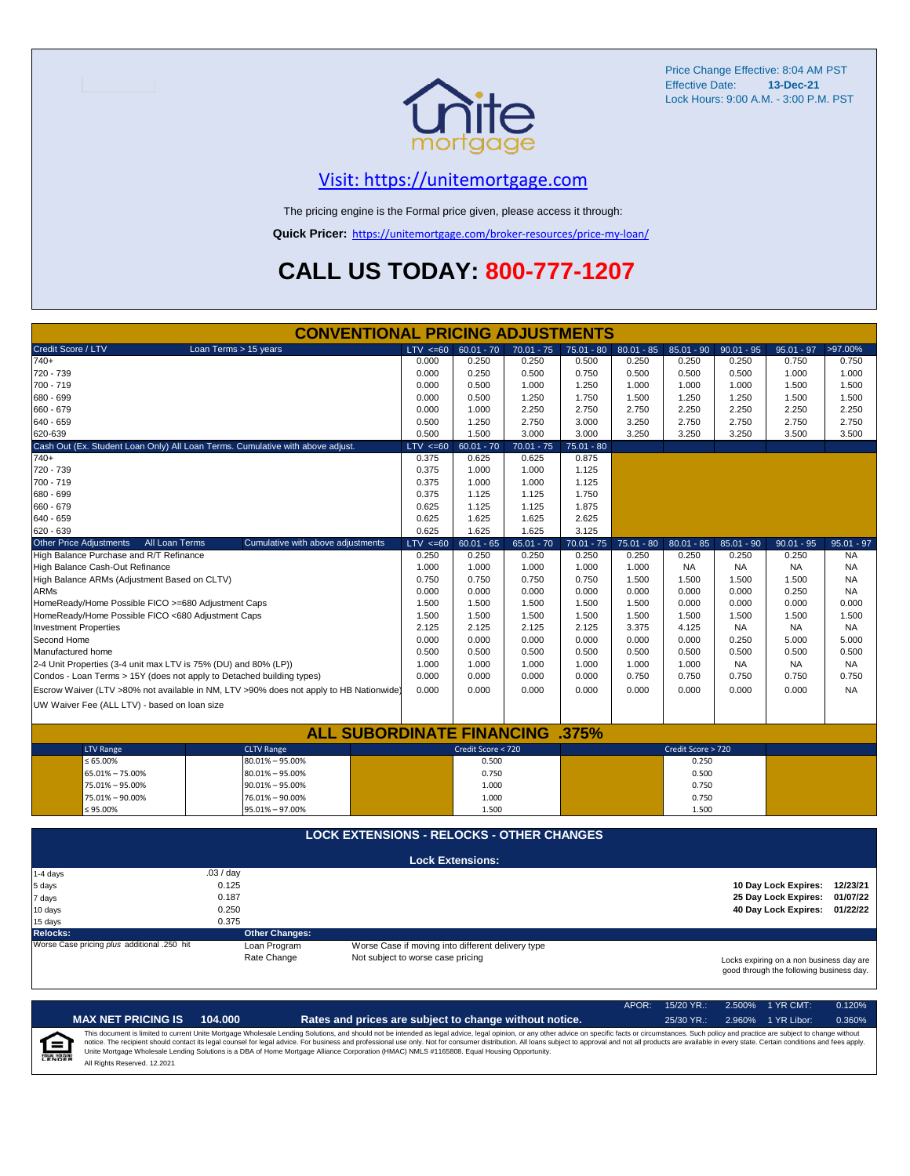

#### [V](https://unitemortgage.com/)isit: https://unitemortgage.com

The pricing engine is the Formal price given, please access it through:

**Quick Pricer:** [https://un](https://unitemortgage.com/broker-resources/price-my-loan/)itemortgage.com/broker-resources/price-my-loan/

## **CALL US TODAY: 800-777-1207**

|                                                                                | <b>CONVENTIONAL PRICING ADJUSTMENTS</b>                                                |                                   |                                                   |              |              |              |                    |              |                                                                                      |              |
|--------------------------------------------------------------------------------|----------------------------------------------------------------------------------------|-----------------------------------|---------------------------------------------------|--------------|--------------|--------------|--------------------|--------------|--------------------------------------------------------------------------------------|--------------|
| Credit Score / LTV                                                             | Loan Terms > 15 years                                                                  | $LTV \le 60$                      | $60.01 - 70$                                      | $70.01 - 75$ | $75.01 - 80$ | $80.01 - 85$ | $85.01 - 90$       | $90.01 - 95$ | $95.01 - 97$                                                                         | >97.00%      |
| $740+$                                                                         |                                                                                        | 0.000                             | 0.250                                             | 0.250        | 0.500        | 0.250        | 0.250              | 0.250        | 0.750                                                                                | 0.750        |
| 720 - 739                                                                      |                                                                                        | 0.000                             | 0.250                                             | 0.500        | 0.750        | 0.500        | 0.500              | 0.500        | 1.000                                                                                | 1.000        |
| 700 - 719                                                                      |                                                                                        | 0.000                             | 0.500                                             | 1.000        | 1.250        | 1.000        | 1.000              | 1.000        | 1.500                                                                                | 1.500        |
| 680 - 699                                                                      |                                                                                        | 0.000                             | 0.500                                             | 1.250        | 1.750        | 1.500        | 1.250              | 1.250        | 1.500                                                                                | 1.500        |
| 660 - 679                                                                      |                                                                                        | 0.000                             | 1.000                                             | 2.250        | 2.750        | 2.750        | 2.250              | 2.250        | 2.250                                                                                | 2.250        |
| 640 - 659                                                                      |                                                                                        | 0.500                             | 1.250                                             | 2.750        | 3.000        | 3.250        | 2.750              | 2.750        | 2.750                                                                                | 2.750        |
| 620-639                                                                        |                                                                                        | 0.500                             | 1.500                                             | 3.000        | 3.000        | 3.250        | 3.250              | 3.250        | 3.500                                                                                | 3.500        |
| Cash Out (Ex. Student Loan Only) All Loan Terms. Cumulative with above adjust. |                                                                                        | $LTV < =60$                       | $60.01 - 70$                                      | $70.01 - 75$ | $75.01 - 80$ |              |                    |              |                                                                                      |              |
| $740+$                                                                         |                                                                                        | 0.375                             | 0.625                                             | 0.625        | 0.875        |              |                    |              |                                                                                      |              |
| 720 - 739                                                                      |                                                                                        | 0.375                             | 1.000                                             | 1.000        | 1.125        |              |                    |              |                                                                                      |              |
| 700 - 719                                                                      |                                                                                        | 0.375                             | 1.000                                             | 1.000        | 1.125        |              |                    |              |                                                                                      |              |
| 680 - 699                                                                      |                                                                                        | 0.375                             | 1.125                                             | 1.125        | 1.750        |              |                    |              |                                                                                      |              |
| 660 - 679                                                                      |                                                                                        | 0.625                             | 1.125                                             | 1.125        | 1.875        |              |                    |              |                                                                                      |              |
| 640 - 659                                                                      |                                                                                        | 0.625                             | 1.625                                             | 1.625        | 2.625        |              |                    |              |                                                                                      |              |
| 620 - 639                                                                      |                                                                                        | 0.625                             | 1.625                                             | 1.625        | 3.125        |              |                    |              |                                                                                      |              |
| <b>Other Price Adjustments</b><br>All Loan Terms                               | Cumulative with above adjustments                                                      | $LTV < =60$                       | $60.01 - 65$                                      | $65.01 - 70$ | $70.01 - 75$ | $75.01 - 80$ | $80.01 - 85$       | 85.01 - 90   | $90.01 - 95$                                                                         | $95.01 - 97$ |
| High Balance Purchase and R/T Refinance                                        |                                                                                        | 0.250                             | 0.250                                             | 0.250        | 0.250        | 0.250        | 0.250              | 0.250        | 0.250                                                                                | <b>NA</b>    |
| High Balance Cash-Out Refinance                                                |                                                                                        | 1.000                             | 1.000                                             | 1.000        | 1.000        | 1.000        | <b>NA</b>          | <b>NA</b>    | <b>NA</b>                                                                            | <b>NA</b>    |
| High Balance ARMs (Adjustment Based on CLTV)                                   |                                                                                        | 0.750                             | 0.750                                             | 0.750        | 0.750        | 1.500        | 1.500              | 1.500        | 1.500                                                                                | <b>NA</b>    |
| <b>ARMs</b>                                                                    |                                                                                        | 0.000                             | 0.000                                             | 0.000        | 0.000        | 0.000        | 0.000              | 0.000        | 0.250                                                                                | <b>NA</b>    |
| HomeReady/Home Possible FICO >=680 Adjustment Caps                             |                                                                                        | 1.500                             | 1.500                                             | 1.500        | 1.500        | 1.500        | 0.000              | 0.000        | 0.000                                                                                | 0.000        |
| HomeReady/Home Possible FICO <680 Adjustment Caps                              |                                                                                        | 1.500                             | 1.500                                             | 1.500        | 1.500        | 1.500        | 1.500              | 1.500        | 1.500                                                                                | 1.500        |
| <b>Investment Properties</b>                                                   |                                                                                        | 2.125                             | 2.125                                             | 2.125        | 2.125        | 3.375        | 4.125              | <b>NA</b>    | <b>NA</b>                                                                            | <b>NA</b>    |
| Second Home                                                                    |                                                                                        | 0.000                             | 0.000                                             | 0.000        | 0.000        | 0.000        | 0.000              | 0.250        | 5.000                                                                                | 5.000        |
| Manufactured home                                                              |                                                                                        | 0.500                             | 0.500                                             | 0.500        | 0.500        | 0.500        | 0.500              | 0.500        | 0.500                                                                                | 0.500        |
| 2-4 Unit Properties (3-4 unit max LTV is 75% (DU) and 80% (LP))                |                                                                                        | 1.000                             | 1.000                                             | 1.000        | 1.000        | 1.000        | 1.000              | <b>NA</b>    | <b>NA</b>                                                                            | <b>NA</b>    |
| Condos - Loan Terms > 15Y (does not apply to Detached building types)          |                                                                                        | 0.000                             | 0.000                                             | 0.000        | 0.000        | 0.750        | 0.750              | 0.750        | 0.750                                                                                | 0.750        |
|                                                                                | Escrow Waiver (LTV >80% not available in NM, LTV >90% does not apply to HB Nationwide) | 0.000                             | 0.000                                             | 0.000        | 0.000        | 0.000        | 0.000              | 0.000        | 0.000                                                                                | <b>NA</b>    |
| UW Waiver Fee (ALL LTV) - based on loan size                                   |                                                                                        |                                   |                                                   |              |              |              |                    |              |                                                                                      |              |
|                                                                                |                                                                                        |                                   |                                                   |              |              |              |                    |              |                                                                                      |              |
|                                                                                | <b>ALL SUBORDINATE FINANCING</b>                                                       |                                   |                                                   |              | .375%        |              |                    |              |                                                                                      |              |
| <b>LTV Range</b>                                                               | <b>CLTV Range</b>                                                                      |                                   | Credit Score < 720                                |              |              |              | Credit Score > 720 |              |                                                                                      |              |
| $\leq 65.00\%$                                                                 | 80.01% - 95.00%                                                                        |                                   | 0.500                                             |              |              |              | 0.250              |              |                                                                                      |              |
| 65.01% - 75.00%                                                                | $80.01\% - 95.00\%$                                                                    |                                   | 0.750                                             |              |              |              | 0.500              |              |                                                                                      |              |
| 75.01% - 95.00%                                                                | $90.01\% - 95.00\%$                                                                    |                                   | 1.000                                             |              |              |              | 0.750              |              |                                                                                      |              |
| 75.01% - 90.00%                                                                | 76.01% - 90.00%                                                                        |                                   | 1.000                                             |              |              |              | 0.750              |              |                                                                                      |              |
| $≤ 95.00\%$                                                                    | 95.01% - 97.00%                                                                        |                                   | 1.500                                             |              |              |              | 1.500              |              |                                                                                      |              |
|                                                                                |                                                                                        |                                   |                                                   |              |              |              |                    |              |                                                                                      |              |
|                                                                                | <b>LOCK EXTENSIONS - RELOCKS - OTHER CHANGES</b>                                       |                                   |                                                   |              |              |              |                    |              |                                                                                      |              |
|                                                                                |                                                                                        |                                   | <b>Lock Extensions:</b>                           |              |              |              |                    |              |                                                                                      |              |
| 1-4 days                                                                       | .03/day                                                                                |                                   |                                                   |              |              |              |                    |              |                                                                                      |              |
| 5 days                                                                         | 0.125                                                                                  |                                   |                                                   |              |              |              |                    |              | 10 Day Lock Expires: 12/23/21                                                        |              |
| 7 days                                                                         | 0.187                                                                                  |                                   |                                                   |              |              |              |                    |              | 25 Day Lock Expires:                                                                 | 01/07/22     |
| 10 days                                                                        | 0.250                                                                                  |                                   |                                                   |              |              |              |                    |              | 40 Day Lock Expires: 01/22/22                                                        |              |
| 15 days                                                                        | 0.375                                                                                  |                                   |                                                   |              |              |              |                    |              |                                                                                      |              |
| <b>Relocks:</b>                                                                | <b>Other Changes:</b>                                                                  |                                   |                                                   |              |              |              |                    |              |                                                                                      |              |
| Worse Case pricing plus additional .250 hit                                    | Loan Program                                                                           |                                   | Worse Case if moving into different delivery type |              |              |              |                    |              |                                                                                      |              |
|                                                                                | Rate Change                                                                            | Not subject to worse case pricing |                                                   |              |              |              |                    |              | Locks expiring on a non business day are<br>good through the following business day. |              |